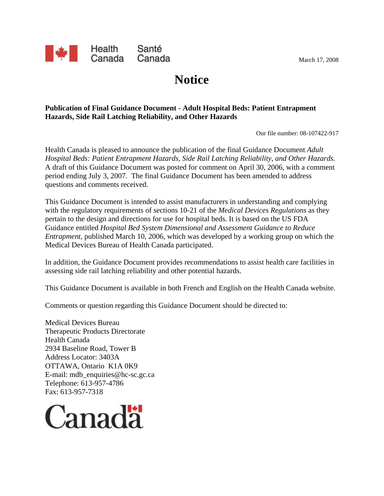

**Notice**

#### **Publication of Final Guidance Document - Adult Hospital Beds: Patient Entrapment Hazards, Side Rail Latching Reliability, and Other Hazards**

Our file number: 08-107422-917

Health Canada is pleased to announce the publication of the final Guidance Document *Adult Hospital Beds: Patient Entrapment Hazards, Side Rail Latching Reliability, and Other Hazards*. A draft of this Guidance Document was posted for comment on April 30, 2006, with a comment period ending July 3, 2007. The final Guidance Document has been amended to address questions and comments received.

This Guidance Document is intended to assist manufacturers in understanding and complying with the regulatory requirements of sections 10-21 of the *Medical Devices Regulations* as they pertain to the design and directions for use for hospital beds. It is based on the US FDA Guidance entitled *Hospital Bed System Dimensional and Assessment Guidance to Reduce Entrapment*, published March 10, 2006, which was developed by a working group on which the Medical Devices Bureau of Health Canada participated.

In addition, the Guidance Document provides recommendations to assist health care facilities in assessing side rail latching reliability and other potential hazards.

This Guidance Document is available in both French and English on the Health Canada website.

Comments or question regarding this Guidance Document should be directed to:

Medical Devices Bureau Therapeutic Products Directorate Health Canada 2934 Baseline Road, Tower B Address Locator: 3403A OTTAWA, Ontario K1A 0K9 E-mail: mdb\_enquiries@hc-sc.gc.ca Telephone: 613-957-4786 Fax: 613-957-7318



March 17, 2008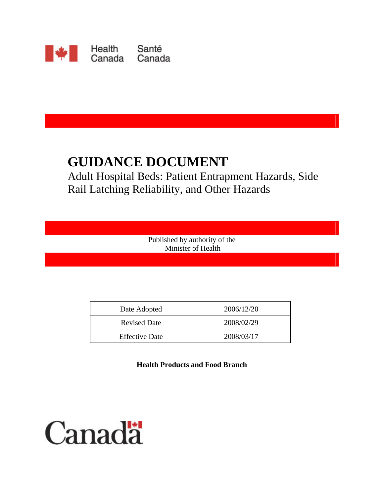

# **GUIDANCE DOCUMENT**

Adult Hospital Beds: Patient Entrapment Hazards, Side Rail Latching Reliability, and Other Hazards

> Published by authority of the Minister of Health

| Date Adopted          | 2006/12/20 |
|-----------------------|------------|
| <b>Revised Date</b>   | 2008/02/29 |
| <b>Effective Date</b> | 2008/03/17 |

**Health Products and Food Branch** 

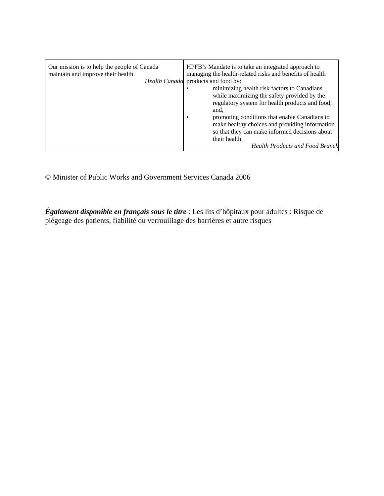| Our mission is to help the people of Canada<br>maintain and improve their health.<br>Health Canada | HPFB's Mandate is to take an integrated approach to<br>managing the health-related risks and benefits of health<br>products and food by:<br>minimizing health risk factors to Canadians<br>while maximizing the safety provided by the<br>regulatory system for health products and food;<br>and.<br>promoting conditions that enable Canadians to<br>make healthy choices and providing information<br>so that they can make informed decisions about<br>their health.<br><b>Health Products and Food Branch</b> |
|----------------------------------------------------------------------------------------------------|-------------------------------------------------------------------------------------------------------------------------------------------------------------------------------------------------------------------------------------------------------------------------------------------------------------------------------------------------------------------------------------------------------------------------------------------------------------------------------------------------------------------|
|----------------------------------------------------------------------------------------------------|-------------------------------------------------------------------------------------------------------------------------------------------------------------------------------------------------------------------------------------------------------------------------------------------------------------------------------------------------------------------------------------------------------------------------------------------------------------------------------------------------------------------|

© Minister of Public Works and Government Services Canada 2006

*Également disponible en français sous le titre* : Les lits d'hôpitaux pour adultes : Risque de piégeage des patients, fiabilité du verrouillage des barrières et autre risques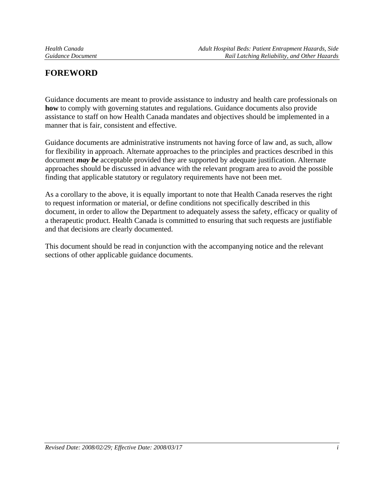# **FOREWORD**

Guidance documents are meant to provide assistance to industry and health care professionals on **how** to comply with governing statutes and regulations. Guidance documents also provide assistance to staff on how Health Canada mandates and objectives should be implemented in a manner that is fair, consistent and effective.

Guidance documents are administrative instruments not having force of law and, as such, allow for flexibility in approach. Alternate approaches to the principles and practices described in this document *may be* acceptable provided they are supported by adequate justification. Alternate approaches should be discussed in advance with the relevant program area to avoid the possible finding that applicable statutory or regulatory requirements have not been met.

As a corollary to the above, it is equally important to note that Health Canada reserves the right to request information or material, or define conditions not specifically described in this document, in order to allow the Department to adequately assess the safety, efficacy or quality of a therapeutic product. Health Canada is committed to ensuring that such requests are justifiable and that decisions are clearly documented.

This document should be read in conjunction with the accompanying notice and the relevant sections of other applicable guidance documents.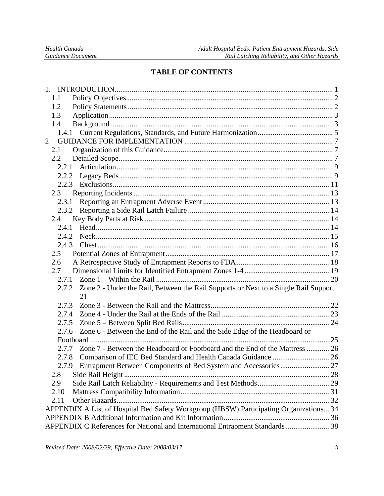# **TABLE OF CONTENTS**

| 1.1                                                                                          |  |
|----------------------------------------------------------------------------------------------|--|
| 1.2                                                                                          |  |
| 1.3                                                                                          |  |
| 1.4                                                                                          |  |
|                                                                                              |  |
| $\overline{2}$                                                                               |  |
| 2.1                                                                                          |  |
| $2.2\,$                                                                                      |  |
| 2.2.1                                                                                        |  |
| 2.2.2                                                                                        |  |
|                                                                                              |  |
| 2.3                                                                                          |  |
| 2.3.1                                                                                        |  |
| 2.3.2                                                                                        |  |
| 2.4                                                                                          |  |
| 2.4.1                                                                                        |  |
| 2.4.2                                                                                        |  |
| 2.4.3                                                                                        |  |
| 2.5                                                                                          |  |
| 2.6                                                                                          |  |
| 2.7                                                                                          |  |
| 2.7.1                                                                                        |  |
| Zone 2 - Under the Rail, Between the Rail Supports or Next to a Single Rail Support<br>2.7.2 |  |
| 21                                                                                           |  |
| 2.7.3                                                                                        |  |
| 2.7.4                                                                                        |  |
| 2.7.5                                                                                        |  |
| Zone 6 - Between the End of the Rail and the Side Edge of the Headboard or<br>2.7.6          |  |
|                                                                                              |  |
| Zone 7 - Between the Headboard or Footboard and the End of the Mattress  26<br>2.7.7         |  |
| 2.7.8                                                                                        |  |
| 2.7.9 Entrapment Between Components of Bed System and Accessories 27                         |  |
| 2.8                                                                                          |  |
| 2.9                                                                                          |  |
| 2.10                                                                                         |  |
| 2.11                                                                                         |  |
| APPENDIX A List of Hospital Bed Safety Workgroup (HBSW) Participating Organizations 34       |  |
|                                                                                              |  |
| APPENDIX C References for National and International Entrapment Standards  38                |  |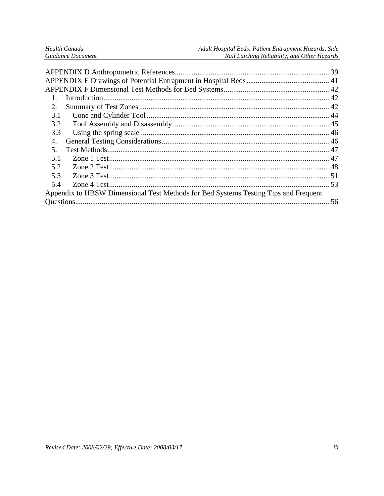| Health Canada            |  |
|--------------------------|--|
| <b>Guidance Document</b> |  |

| 2.                                                                                  |  |
|-------------------------------------------------------------------------------------|--|
| 3.1                                                                                 |  |
| 3.2                                                                                 |  |
| 3.3                                                                                 |  |
| 4.                                                                                  |  |
| .5                                                                                  |  |
| 5.1                                                                                 |  |
| 5.2                                                                                 |  |
| 5.3                                                                                 |  |
| 5.4                                                                                 |  |
| Appendix to HBSW Dimensional Test Methods for Bed Systems Testing Tips and Frequent |  |
|                                                                                     |  |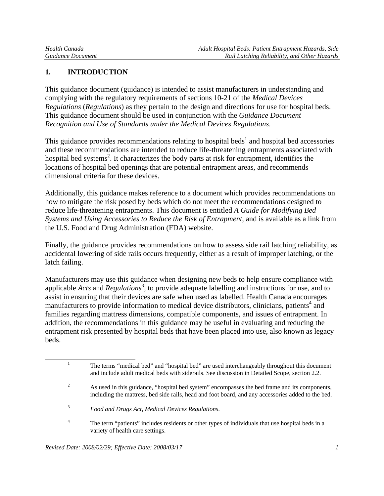# **1. INTRODUCTION**

This guidance document (guidance) is intended to assist manufacturers in understanding and complying with the regulatory requirements of sections 10-21 of the *Medical Devices Regulations* (*Regulations*) as they pertain to the design and directions for use for hospital beds. This guidance document should be used in conjunction with the *Guidance Document Recognition and Use of Standards under the Medical Devices Regulations*.

This guidance provides recommendations relating to hospital beds<sup>1</sup> and hospital bed accessories and these recommendations are intended to reduce life-threatening entrapments associated with hospital bed systems<sup>2</sup>. It characterizes the body parts at risk for entrapment, identifies the locations of hospital bed openings that are potential entrapment areas, and recommends dimensional criteria for these devices.

Additionally, this guidance makes reference to a document which provides recommendations on how to mitigate the risk posed by beds which do not meet the recommendations designed to reduce life-threatening entrapments. This document is entitled *A Guide for Modifying Bed Systems and Using Accessories to Reduce the Risk of Entrapment*, and is available as a link from the U.S. Food and Drug Administration (FDA) website.

Finally, the guidance provides recommendations on how to assess side rail latching reliability, as accidental lowering of side rails occurs frequently, either as a result of improper latching, or the latch failing.

Manufacturers may use this guidance when designing new beds to help ensure compliance with applicable *Acts* and *Regulations*<sup>3</sup>, to provide adequate labelling and instructions for use, and to assist in ensuring that their devices are safe when used as labelled. Health Canada encourages manufacturers to provide information to medical device distributors, clinicians, patients<sup>4</sup> and families regarding mattress dimensions, compatible components, and issues of entrapment. In addition, the recommendations in this guidance may be useful in evaluating and reducing the entrapment risk presented by hospital beds that have been placed into use, also known as legacy beds.

<sup>&</sup>lt;u>1</u> <sup>1</sup> The terms "medical bed" and "hospital bed" are used interchangeably throughout this document and include adult medical beds with siderails. See discussion in Detailed Scope, section 2.2. 2

As used in this guidance, "hospital bed system" encompasses the bed frame and its components, including the mattress, bed side rails, head and foot board, and any accessories added to the bed.

<sup>3</sup> *Food and Drugs Act*, *Medical Devices Regulations*.

<sup>4</sup> The term "patients" includes residents or other types of individuals that use hospital beds in a variety of health care settings.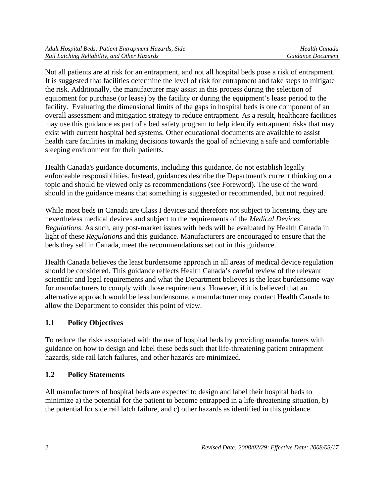Not all patients are at risk for an entrapment, and not all hospital beds pose a risk of entrapment. It is suggested that facilities determine the level of risk for entrapment and take steps to mitigate the risk. Additionally, the manufacturer may assist in this process during the selection of equipment for purchase (or lease) by the facility or during the equipment's lease period to the facility. Evaluating the dimensional limits of the gaps in hospital beds is one component of an overall assessment and mitigation strategy to reduce entrapment. As a result, healthcare facilities may use this guidance as part of a bed safety program to help identify entrapment risks that may exist with current hospital bed systems. Other educational documents are available to assist health care facilities in making decisions towards the goal of achieving a safe and comfortable sleeping environment for their patients.

Health Canada's guidance documents, including this guidance, do not establish legally enforceable responsibilities. Instead, guidances describe the Department's current thinking on a topic and should be viewed only as recommendations (see Foreword). The use of the word should in the guidance means that something is suggested or recommended, but not required.

While most beds in Canada are Class I devices and therefore not subject to licensing, they are nevertheless medical devices and subject to the requirements of the *Medical Devices Regulations*. As such, any post-market issues with beds will be evaluated by Health Canada in light of these *Regulations* and this guidance. Manufacturers are encouraged to ensure that the beds they sell in Canada, meet the recommendations set out in this guidance.

Health Canada believes the least burdensome approach in all areas of medical device regulation should be considered. This guidance reflects Health Canada's careful review of the relevant scientific and legal requirements and what the Department believes is the least burdensome way for manufacturers to comply with those requirements. However, if it is believed that an alternative approach would be less burdensome, a manufacturer may contact Health Canada to allow the Department to consider this point of view.

# **1.1 Policy Objectives**

To reduce the risks associated with the use of hospital beds by providing manufacturers with guidance on how to design and label these beds such that life-threatening patient entrapment hazards, side rail latch failures, and other hazards are minimized.

# **1.2 Policy Statements**

All manufacturers of hospital beds are expected to design and label their hospital beds to minimize a) the potential for the patient to become entrapped in a life-threatening situation, b) the potential for side rail latch failure, and c) other hazards as identified in this guidance.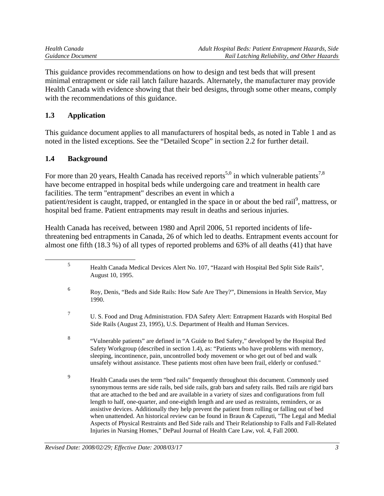| Health Canada     | Adult Hospital Beds: Patient Entrapment Hazards, Side |
|-------------------|-------------------------------------------------------|
| Guidance Document | Rail Latching Reliability, and Other Hazards          |

This guidance provides recommendations on how to design and test beds that will present minimal entrapment or side rail latch failure hazards. Alternately, the manufacturer may provide Health Canada with evidence showing that their bed designs, through some other means, comply with the recommendations of this guidance.

# **1.3 Application**

This guidance document applies to all manufacturers of hospital beds, as noted in Table 1 and as noted in the listed exceptions. See the "Detailed Scope" in section 2.2 for further detail.

# **1.4 Background**

For more than 20 years, Health Canada has received reports<sup>5,0</sup> in which vulnerable patients<sup>7,8</sup> have become entrapped in hospital beds while undergoing care and treatment in health care facilities. The term "entrapment" describes an event in which a patient/resident is caught, trapped, or entangled in the space in or about the bed rail<sup>9</sup>, mattress, or hospital bed frame. Patient entrapments may result in deaths and serious injuries.

Health Canada has received, between 1980 and April 2006, 51 reported incidents of lifethreatening bed entrapments in Canada, 26 of which led to deaths. Entrapment events account for almost one fifth (18.3 %) of all types of reported problems and 63% of all deaths (41) that have

| 5 | Health Canada Medical Devices Alert No. 107, "Hazard with Hospital Bed Split Side Rails",<br>August 10, 1995.                                                                                                                                                                                                                                                                                                                                                                                                                                                                                                                                                                                                                                                                                               |
|---|-------------------------------------------------------------------------------------------------------------------------------------------------------------------------------------------------------------------------------------------------------------------------------------------------------------------------------------------------------------------------------------------------------------------------------------------------------------------------------------------------------------------------------------------------------------------------------------------------------------------------------------------------------------------------------------------------------------------------------------------------------------------------------------------------------------|
| 6 | Roy, Denis, "Beds and Side Rails: How Safe Are They?", Dimensions in Health Service, May<br>1990.                                                                                                                                                                                                                                                                                                                                                                                                                                                                                                                                                                                                                                                                                                           |
| 7 | U. S. Food and Drug Administration. FDA Safety Alert: Entrapment Hazards with Hospital Bed<br>Side Rails (August 23, 1995), U.S. Department of Health and Human Services.                                                                                                                                                                                                                                                                                                                                                                                                                                                                                                                                                                                                                                   |
| 8 | "Vulnerable patients" are defined in "A Guide to Bed Safety," developed by the Hospital Bed<br>Safety Workgroup (described in section 1.4), as: "Patients who have problems with memory,<br>sleeping, incontinence, pain, uncontrolled body movement or who get out of bed and walk<br>unsafely without assistance. These patients most often have been frail, elderly or confused."                                                                                                                                                                                                                                                                                                                                                                                                                        |
| 9 | Health Canada uses the term "bed rails" frequently throughout this document. Commonly used<br>synonymous terms are side rails, bed side rails, grab bars and safety rails. Bed rails are rigid bars<br>that are attached to the bed and are available in a variety of sizes and configurations from full<br>length to half, one-quarter, and one-eighth length and are used as restraints, reminders, or as<br>assistive devices. Additionally they help prevent the patient from rolling or falling out of bed<br>when unattended. An historical review can be found in Braun & Capezuti, "The Legal and Medial<br>Aspects of Physical Restraints and Bed Side rails and Their Relationship to Falls and Fall-Related<br>Injuries in Nursing Homes," DePaul Journal of Health Care Law, vol. 4, Fall 2000. |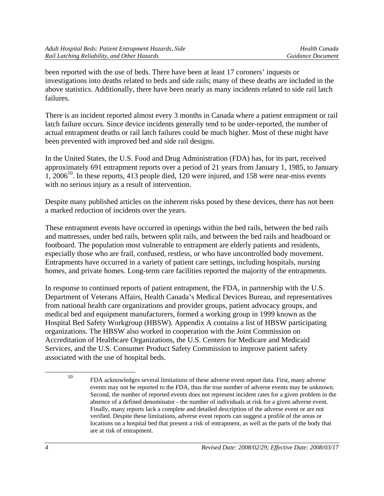been reported with the use of beds. There have been at least 17 coroners' inquests or investigations into deaths related to beds and side rails; many of these deaths are included in the above statistics. Additionally, there have been nearly as many incidents related to side rail latch failures.

There is an incident reported almost every 3 months in Canada where a patient entrapment or rail latch failure occurs. Since device incidents generally tend to be under-reported, the number of actual entrapment deaths or rail latch failures could be much higher. Most of these might have been prevented with improved bed and side rail designs.

In the United States, the U.S. Food and Drug Administration (FDA) has, for its part, received approximately 691 entrapment reports over a period of 21 years from January 1, 1985, to January  $1, 2006<sup>10</sup>$ . In these reports, 413 people died, 120 were injured, and 158 were near-miss events with no serious injury as a result of intervention.

Despite many published articles on the inherent risks posed by these devices, there has not been a marked reduction of incidents over the years.

These entrapment events have occurred in openings within the bed rails, between the bed rails and mattresses, under bed rails, between split rails, and between the bed rails and headboard or footboard. The population most vulnerable to entrapment are elderly patients and residents, especially those who are frail, confused, restless, or who have uncontrolled body movement. Entrapments have occurred in a variety of patient care settings, including hospitals, nursing homes, and private homes. Long-term care facilities reported the majority of the entrapments.

In response to continued reports of patient entrapment, the FDA, in partnership with the U.S. Department of Veterans Affairs, Health Canada's Medical Devices Bureau, and representatives from national health care organizations and provider groups, patient advocacy groups, and medical bed and equipment manufacturers, formed a working group in 1999 known as the Hospital Bed Safety Workgroup (HBSW). Appendix A contains a list of HBSW participating organizations. The HBSW also worked in cooperation with the Joint Commission on Accreditation of Healthcare Organizations, the U.S. Centers for Medicare and Medicaid Services, and the U.S. Consumer Product Safety Commission to improve patient safety associated with the use of hospital beds.

 <sup>10</sup> FDA acknowledges several limitations of these adverse event report data. First, many adverse events may not be reported to the FDA, thus the true number of adverse events may be unknown. Second, the number of reported events does not represent incident rates for a given problem in the absence of a defined denominator - the number of individuals at risk for a given adverse event. Finally, many reports lack a complete and detailed description of the adverse event or are not verified. Despite these limitations, adverse event reports can suggest a profile of the areas or locations on a hospital bed that present a risk of entrapment, as well as the parts of the body that are at risk of entrapment.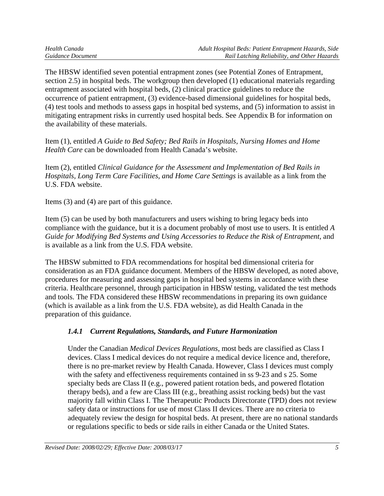The HBSW identified seven potential entrapment zones (see Potential Zones of Entrapment, section 2.5) in hospital beds. The workgroup then developed (1) educational materials regarding entrapment associated with hospital beds, (2) clinical practice guidelines to reduce the occurrence of patient entrapment, (3) evidence-based dimensional guidelines for hospital beds, (4) test tools and methods to assess gaps in hospital bed systems, and (5) information to assist in mitigating entrapment risks in currently used hospital beds. See Appendix B for information on the availability of these materials.

Item (1), entitled *A Guide to Bed Safety; Bed Rails in Hospitals, Nursing Homes and Home Health Care* can be downloaded from Health Canada's website.

Item (2), entitled *Clinical Guidance for the Assessment and Implementation of Bed Rails in Hospitals, Long Term Care Facilities, and Home Care Settings* is available as a link from the U.S. FDA website.

Items (3) and (4) are part of this guidance.

Item (5) can be used by both manufacturers and users wishing to bring legacy beds into compliance with the guidance, but it is a document probably of most use to users. It is entitled *A Guide for Modifying Bed Systems and Using Accessories to Reduce the Risk of Entrapment*, and is available as a link from the U.S. FDA website.

The HBSW submitted to FDA recommendations for hospital bed dimensional criteria for consideration as an FDA guidance document. Members of the HBSW developed, as noted above, procedures for measuring and assessing gaps in hospital bed systems in accordance with these criteria. Healthcare personnel, through participation in HBSW testing, validated the test methods and tools. The FDA considered these HBSW recommendations in preparing its own guidance (which is available as a link from the U.S. FDA website), as did Health Canada in the preparation of this guidance.

# *1.4.1 Current Regulations, Standards, and Future Harmonization*

Under the Canadian *Medical Devices Regulations*, most beds are classified as Class I devices. Class I medical devices do not require a medical device licence and, therefore, there is no pre-market review by Health Canada. However, Class I devices must comply with the safety and effectiveness requirements contained in ss 9-23 and s 25. Some specialty beds are Class II (e.g., powered patient rotation beds, and powered flotation therapy beds), and a few are Class III (e.g., breathing assist rocking beds) but the vast majority fall within Class I. The Therapeutic Products Directorate (TPD) does not review safety data or instructions for use of most Class II devices. There are no criteria to adequately review the design for hospital beds. At present, there are no national standards or regulations specific to beds or side rails in either Canada or the United States.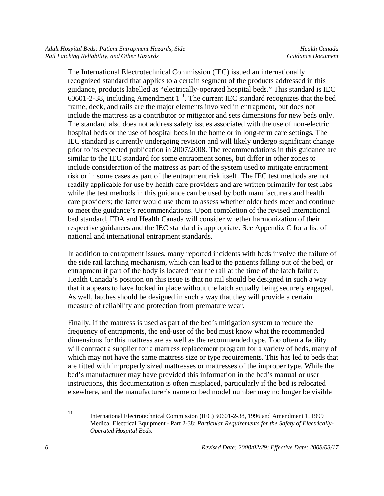The International Electrotechnical Commission (IEC) issued an internationally recognized standard that applies to a certain segment of the products addressed in this guidance, products labelled as "electrically-operated hospital beds." This standard is IEC  $60601-2-38$ , including Amendment  $1^{11}$ . The current IEC standard recognizes that the bed frame, deck, and rails are the major elements involved in entrapment, but does not include the mattress as a contributor or mitigator and sets dimensions for new beds only. The standard also does not address safety issues associated with the use of non-electric hospital beds or the use of hospital beds in the home or in long-term care settings. The IEC standard is currently undergoing revision and will likely undergo significant change prior to its expected publication in 2007/2008. The recommendations in this guidance are similar to the IEC standard for some entrapment zones, but differ in other zones to include consideration of the mattress as part of the system used to mitigate entrapment risk or in some cases as part of the entrapment risk itself. The IEC test methods are not readily applicable for use by health care providers and are written primarily for test labs while the test methods in this guidance can be used by both manufacturers and health care providers; the latter would use them to assess whether older beds meet and continue to meet the guidance's recommendations. Upon completion of the revised international bed standard, FDA and Health Canada will consider whether harmonization of their respective guidances and the IEC standard is appropriate. See Appendix C for a list of national and international entrapment standards.

In addition to entrapment issues, many reported incidents with beds involve the failure of the side rail latching mechanism, which can lead to the patients falling out of the bed, or entrapment if part of the body is located near the rail at the time of the latch failure. Health Canada's position on this issue is that no rail should be designed in such a way that it appears to have locked in place without the latch actually being securely engaged. As well, latches should be designed in such a way that they will provide a certain measure of reliability and protection from premature wear.

Finally, if the mattress is used as part of the bed's mitigation system to reduce the frequency of entrapments, the end-user of the bed must know what the recommended dimensions for this mattress are as well as the recommended type. Too often a facility will contract a supplier for a mattress replacement program for a variety of beds, many of which may not have the same mattress size or type requirements. This has led to beds that are fitted with improperly sized mattresses or mattresses of the improper type. While the bed's manufacturer may have provided this information in the bed's manual or user instructions, this documentation is often misplaced, particularly if the bed is relocated elsewhere, and the manufacturer's name or bed model number may no longer be visible

 <sup>11</sup> International Electrotechnical Commission (IEC) 60601-2-38, 1996 and Amendment 1, 1999 Medical Electrical Equipment - Part 2-38: *Particular Requirements for the Safety of Electrically-Operated Hospital Beds*.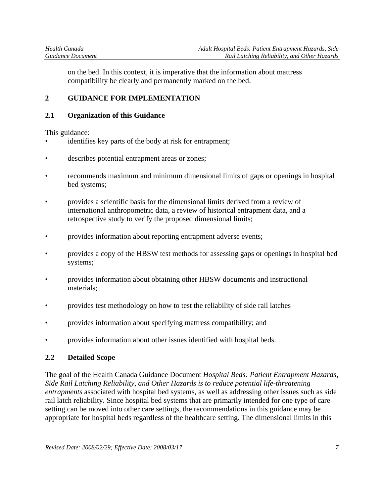on the bed. In this context, it is imperative that the information about mattress compatibility be clearly and permanently marked on the bed.

# **2 GUIDANCE FOR IMPLEMENTATION**

#### **2.1 Organization of this Guidance**

This guidance:

- identifies key parts of the body at risk for entrapment;
- describes potential entrapment areas or zones;
- recommends maximum and minimum dimensional limits of gaps or openings in hospital bed systems;
- provides a scientific basis for the dimensional limits derived from a review of international anthropometric data, a review of historical entrapment data, and a retrospective study to verify the proposed dimensional limits;
- provides information about reporting entrapment adverse events;
- provides a copy of the HBSW test methods for assessing gaps or openings in hospital bed systems;
- provides information about obtaining other HBSW documents and instructional materials;
- provides test methodology on how to test the reliability of side rail latches
- provides information about specifying mattress compatibility; and
- provides information about other issues identified with hospital beds.

## **2.2 Detailed Scope**

The goal of the Health Canada Guidance Document *Hospital Beds: Patient Entrapment Hazards, Side Rail Latching Reliability, and Other Hazards is to reduce potential life-threatening entrapments* associated with hospital bed systems, as well as addressing other issues such as side rail latch reliability. Since hospital bed systems that are primarily intended for one type of care setting can be moved into other care settings, the recommendations in this guidance may be appropriate for hospital beds regardless of the healthcare setting. The dimensional limits in this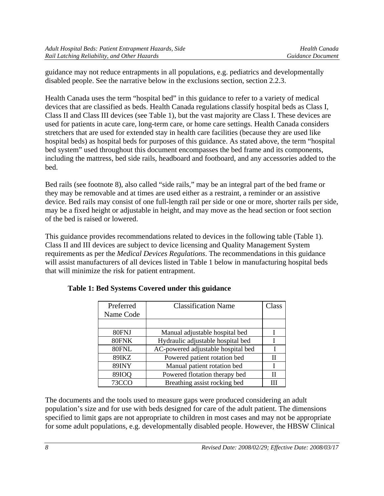guidance may not reduce entrapments in all populations, e.g. pediatrics and developmentally disabled people. See the narrative below in the exclusions section, section 2.2.3.

Health Canada uses the term "hospital bed" in this guidance to refer to a variety of medical devices that are classified as beds. Health Canada regulations classify hospital beds as Class I, Class II and Class III devices (see Table 1), but the vast majority are Class I. These devices are used for patients in acute care, long-term care, or home care settings. Health Canada considers stretchers that are used for extended stay in health care facilities (because they are used like hospital beds) as hospital beds for purposes of this guidance. As stated above, the term "hospital bed system" used throughout this document encompasses the bed frame and its components, including the mattress, bed side rails, headboard and footboard, and any accessories added to the bed.

Bed rails (see footnote 8), also called "side rails," may be an integral part of the bed frame or they may be removable and at times are used either as a restraint, a reminder or an assistive device. Bed rails may consist of one full-length rail per side or one or more, shorter rails per side, may be a fixed height or adjustable in height, and may move as the head section or foot section of the bed is raised or lowered.

This guidance provides recommendations related to devices in the following table (Table 1). Class II and III devices are subject to device licensing and Quality Management System requirements as per the *Medical Devices Regulations*. The recommendations in this guidance will assist manufacturers of all devices listed in Table 1 below in manufacturing hospital beds that will minimize the risk for patient entrapment.

| Preferred    | <b>Classification Name</b>         | Class |
|--------------|------------------------------------|-------|
| Name Code    |                                    |       |
|              |                                    |       |
| 80FNJ        | Manual adjustable hospital bed     |       |
| 80FNK        | Hydraulic adjustable hospital bed  |       |
| 80FNL        | AC-powered adjustable hospital bed |       |
| 89IKZ        | Powered patient rotation bed       | Н     |
| <b>89INY</b> | Manual patient rotation bed        | T     |
| 89IOQ        | Powered flotation therapy bed      | Н     |
| 73CC         | Breathing assist rocking bed       |       |

# **Table 1: Bed Systems Covered under this guidance**

The documents and the tools used to measure gaps were produced considering an adult population's size and for use with beds designed for care of the adult patient. The dimensions specified to limit gaps are not appropriate to children in most cases and may not be appropriate for some adult populations, e.g. developmentally disabled people. However, the HBSW Clinical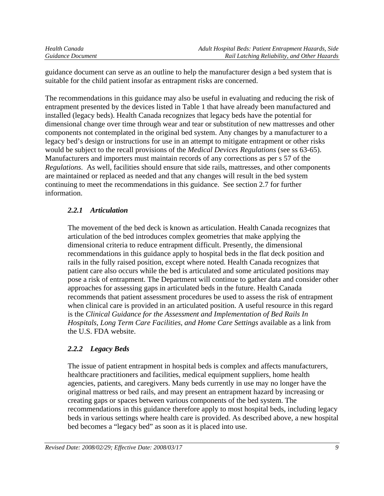guidance document can serve as an outline to help the manufacturer design a bed system that is suitable for the child patient insofar as entrapment risks are concerned.

The recommendations in this guidance may also be useful in evaluating and reducing the risk of entrapment presented by the devices listed in Table 1 that have already been manufactured and installed (legacy beds). Health Canada recognizes that legacy beds have the potential for dimensional change over time through wear and tear or substitution of new mattresses and other components not contemplated in the original bed system. Any changes by a manufacturer to a legacy bed's design or instructions for use in an attempt to mitigate entrapment or other risks would be subject to the recall provisions of the *Medical Devices Regulations* (see ss 63-65). Manufacturers and importers must maintain records of any corrections as per s 57 of the *Regulations*. As well, facilities should ensure that side rails, mattresses, and other components are maintained or replaced as needed and that any changes will result in the bed system continuing to meet the recommendations in this guidance. See section 2.7 for further information.

# *2.2.1 Articulation*

The movement of the bed deck is known as articulation. Health Canada recognizes that articulation of the bed introduces complex geometries that make applying the dimensional criteria to reduce entrapment difficult. Presently, the dimensional recommendations in this guidance apply to hospital beds in the flat deck position and rails in the fully raised position, except where noted. Health Canada recognizes that patient care also occurs while the bed is articulated and some articulated positions may pose a risk of entrapment. The Department will continue to gather data and consider other approaches for assessing gaps in articulated beds in the future. Health Canada recommends that patient assessment procedures be used to assess the risk of entrapment when clinical care is provided in an articulated position. A useful resource in this regard is the *Clinical Guidance for the Assessment and Implementation of Bed Rails In Hospitals, Long Term Care Facilities, and Home Care Settings* available as a link from the U.S. FDA website.

# *2.2.2 Legacy Beds*

The issue of patient entrapment in hospital beds is complex and affects manufacturers, healthcare practitioners and facilities, medical equipment suppliers, home health agencies, patients, and caregivers. Many beds currently in use may no longer have the original mattress or bed rails, and may present an entrapment hazard by increasing or creating gaps or spaces between various components of the bed system. The recommendations in this guidance therefore apply to most hospital beds, including legacy beds in various settings where health care is provided. As described above, a new hospital bed becomes a "legacy bed" as soon as it is placed into use.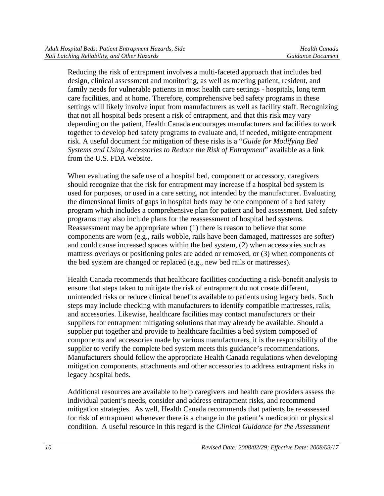Reducing the risk of entrapment involves a multi-faceted approach that includes bed design, clinical assessment and monitoring, as well as meeting patient, resident, and family needs for vulnerable patients in most health care settings - hospitals, long term care facilities, and at home. Therefore, comprehensive bed safety programs in these settings will likely involve input from manufacturers as well as facility staff. Recognizing that not all hospital beds present a risk of entrapment, and that this risk may vary depending on the patient, Health Canada encourages manufacturers and facilities to work together to develop bed safety programs to evaluate and, if needed, mitigate entrapment risk. A useful document for mitigation of these risks is a "*Guide for Modifying Bed Systems and Using Accessories to Reduce the Risk of Entrapment*" available as a link from the U.S. FDA website.

When evaluating the safe use of a hospital bed, component or accessory, caregivers should recognize that the risk for entrapment may increase if a hospital bed system is used for purposes, or used in a care setting, not intended by the manufacturer. Evaluating the dimensional limits of gaps in hospital beds may be one component of a bed safety program which includes a comprehensive plan for patient and bed assessment. Bed safety programs may also include plans for the reassessment of hospital bed systems. Reassessment may be appropriate when (1) there is reason to believe that some components are worn (e.g., rails wobble, rails have been damaged, mattresses are softer) and could cause increased spaces within the bed system, (2) when accessories such as mattress overlays or positioning poles are added or removed, or (3) when components of the bed system are changed or replaced (e.g., new bed rails or mattresses).

Health Canada recommends that healthcare facilities conducting a risk-benefit analysis to ensure that steps taken to mitigate the risk of entrapment do not create different, unintended risks or reduce clinical benefits available to patients using legacy beds. Such steps may include checking with manufacturers to identify compatible mattresses, rails, and accessories. Likewise, healthcare facilities may contact manufacturers or their suppliers for entrapment mitigating solutions that may already be available. Should a supplier put together and provide to healthcare facilities a bed system composed of components and accessories made by various manufacturers, it is the responsibility of the supplier to verify the complete bed system meets this guidance's recommendations. Manufacturers should follow the appropriate Health Canada regulations when developing mitigation components, attachments and other accessories to address entrapment risks in legacy hospital beds.

Additional resources are available to help caregivers and health care providers assess the individual patient's needs, consider and address entrapment risks, and recommend mitigation strategies. As well, Health Canada recommends that patients be re-assessed for risk of entrapment whenever there is a change in the patient's medication or physical condition. A useful resource in this regard is the *Clinical Guidance for the Assessment*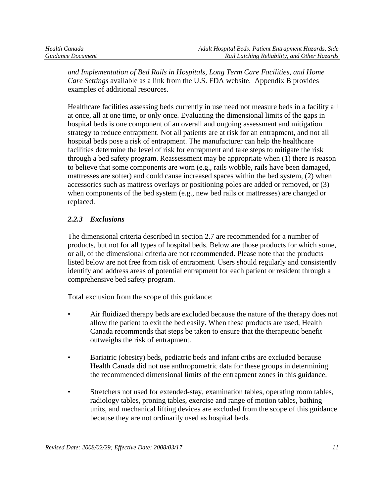*and Implementation of Bed Rails in Hospitals, Long Term Care Facilities, and Home Care Settings* available as a link from the U.S. FDA website. Appendix B provides examples of additional resources.

Healthcare facilities assessing beds currently in use need not measure beds in a facility all at once, all at one time, or only once. Evaluating the dimensional limits of the gaps in hospital beds is one component of an overall and ongoing assessment and mitigation strategy to reduce entrapment. Not all patients are at risk for an entrapment, and not all hospital beds pose a risk of entrapment. The manufacturer can help the healthcare facilities determine the level of risk for entrapment and take steps to mitigate the risk through a bed safety program. Reassessment may be appropriate when (1) there is reason to believe that some components are worn (e.g., rails wobble, rails have been damaged, mattresses are softer) and could cause increased spaces within the bed system, (2) when accessories such as mattress overlays or positioning poles are added or removed, or (3) when components of the bed system (e.g., new bed rails or mattresses) are changed or replaced.

# *2.2.3 Exclusions*

The dimensional criteria described in section 2.7 are recommended for a number of products, but not for all types of hospital beds. Below are those products for which some, or all, of the dimensional criteria are not recommended. Please note that the products listed below are not free from risk of entrapment. Users should regularly and consistently identify and address areas of potential entrapment for each patient or resident through a comprehensive bed safety program.

Total exclusion from the scope of this guidance:

- Air fluidized therapy beds are excluded because the nature of the therapy does not allow the patient to exit the bed easily. When these products are used, Health Canada recommends that steps be taken to ensure that the therapeutic benefit outweighs the risk of entrapment.
- Bariatric (obesity) beds, pediatric beds and infant cribs are excluded because Health Canada did not use anthropometric data for these groups in determining the recommended dimensional limits of the entrapment zones in this guidance.
- Stretchers not used for extended-stay, examination tables, operating room tables, radiology tables, proning tables, exercise and range of motion tables, bathing units, and mechanical lifting devices are excluded from the scope of this guidance because they are not ordinarily used as hospital beds.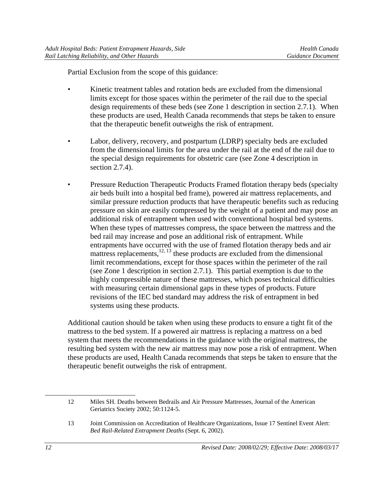Partial Exclusion from the scope of this guidance:

- Kinetic treatment tables and rotation beds are excluded from the dimensional limits except for those spaces within the perimeter of the rail due to the special design requirements of these beds (see Zone 1 description in section 2.7.1). When these products are used, Health Canada recommends that steps be taken to ensure that the therapeutic benefit outweighs the risk of entrapment.
- Labor, delivery, recovery, and postpartum (LDRP) specialty beds are excluded from the dimensional limits for the area under the rail at the end of the rail due to the special design requirements for obstetric care (see Zone 4 description in section 2.7.4).
- Pressure Reduction Therapeutic Products Framed flotation therapy beds (specialty air beds built into a hospital bed frame), powered air mattress replacements, and similar pressure reduction products that have therapeutic benefits such as reducing pressure on skin are easily compressed by the weight of a patient and may pose an additional risk of entrapment when used with conventional hospital bed systems. When these types of mattresses compress, the space between the mattress and the bed rail may increase and pose an additional risk of entrapment. While entrapments have occurred with the use of framed flotation therapy beds and air mattress replacements, $1^{2, 13}$  these products are excluded from the dimensional limit recommendations, except for those spaces within the perimeter of the rail (see Zone 1 description in section 2.7.1). This partial exemption is due to the highly compressible nature of these mattresses, which poses technical difficulties with measuring certain dimensional gaps in these types of products. Future revisions of the IEC bed standard may address the risk of entrapment in bed systems using these products.

Additional caution should be taken when using these products to ensure a tight fit of the mattress to the bed system. If a powered air mattress is replacing a mattress on a bed system that meets the recommendations in the guidance with the original mattress, the resulting bed system with the new air mattress may now pose a risk of entrapment. When these products are used, Health Canada recommends that steps be taken to ensure that the therapeutic benefit outweighs the risk of entrapment.

 $\overline{a}$ 

<sup>12</sup> Miles SH. Deaths between Bedrails and Air Pressure Mattresses, Journal of the American Geriatrics Society 2002; 50:1124-5.

<sup>13</sup> Joint Commission on Accreditation of Healthcare Organizations, Issue 17 Sentinel Event Alert: *Bed Rail-Related Entrapment Deaths* (Sept. 6, 2002).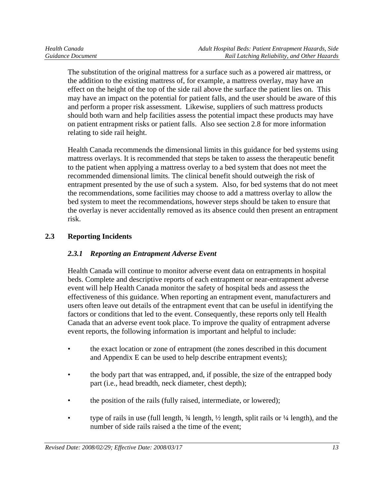The substitution of the original mattress for a surface such as a powered air mattress, or the addition to the existing mattress of, for example, a mattress overlay, may have an effect on the height of the top of the side rail above the surface the patient lies on. This may have an impact on the potential for patient falls, and the user should be aware of this and perform a proper risk assessment. Likewise, suppliers of such mattress products should both warn and help facilities assess the potential impact these products may have on patient entrapment risks or patient falls. Also see section 2.8 for more information relating to side rail height.

Health Canada recommends the dimensional limits in this guidance for bed systems using mattress overlays. It is recommended that steps be taken to assess the therapeutic benefit to the patient when applying a mattress overlay to a bed system that does not meet the recommended dimensional limits. The clinical benefit should outweigh the risk of entrapment presented by the use of such a system. Also, for bed systems that do not meet the recommendations, some facilities may choose to add a mattress overlay to allow the bed system to meet the recommendations, however steps should be taken to ensure that the overlay is never accidentally removed as its absence could then present an entrapment risk.

# **2.3 Reporting Incidents**

# *2.3.1 Reporting an Entrapment Adverse Event*

Health Canada will continue to monitor adverse event data on entrapments in hospital beds. Complete and descriptive reports of each entrapment or near-entrapment adverse event will help Health Canada monitor the safety of hospital beds and assess the effectiveness of this guidance. When reporting an entrapment event, manufacturers and users often leave out details of the entrapment event that can be useful in identifying the factors or conditions that led to the event. Consequently, these reports only tell Health Canada that an adverse event took place. To improve the quality of entrapment adverse event reports, the following information is important and helpful to include:

- the exact location or zone of entrapment (the zones described in this document and Appendix E can be used to help describe entrapment events);
- the body part that was entrapped, and, if possible, the size of the entrapped body part (i.e., head breadth, neck diameter, chest depth);
- the position of the rails (fully raised, intermediate, or lowered);
- type of rails in use (full length,  $\frac{3}{4}$  length,  $\frac{1}{2}$  length, split rails or  $\frac{1}{4}$  length), and the number of side rails raised a the time of the event;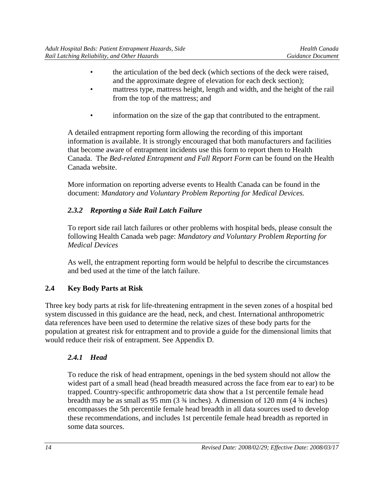- the articulation of the bed deck (which sections of the deck were raised, and the approximate degree of elevation for each deck section);
- mattress type, mattress height, length and width, and the height of the rail from the top of the mattress; and
- information on the size of the gap that contributed to the entrapment.

A detailed entrapment reporting form allowing the recording of this important information is available. It is strongly encouraged that both manufacturers and facilities that become aware of entrapment incidents use this form to report them to Health Canada. The *Bed-related Entrapment and Fall Report Form* can be found on the Health Canada website.

More information on reporting adverse events to Health Canada can be found in the document: *Mandatory and Voluntary Problem Reporting for Medical Devices.* 

# *2.3.2 Reporting a Side Rail Latch Failure*

To report side rail latch failures or other problems with hospital beds, please consult the following Health Canada web page: *Mandatory and Voluntary Problem Reporting for Medical Devices* 

As well, the entrapment reporting form would be helpful to describe the circumstances and bed used at the time of the latch failure.

# **2.4 Key Body Parts at Risk**

Three key body parts at risk for life-threatening entrapment in the seven zones of a hospital bed system discussed in this guidance are the head, neck, and chest. International anthropometric data references have been used to determine the relative sizes of these body parts for the population at greatest risk for entrapment and to provide a guide for the dimensional limits that would reduce their risk of entrapment. See Appendix D.

# *2.4.1 Head*

To reduce the risk of head entrapment, openings in the bed system should not allow the widest part of a small head (head breadth measured across the face from ear to ear) to be trapped. Country-specific anthropometric data show that a 1st percentile female head breadth may be as small as 95 mm (3 ¾ inches). A dimension of 120 mm (4 ¾ inches) encompasses the 5th percentile female head breadth in all data sources used to develop these recommendations, and includes 1st percentile female head breadth as reported in some data sources.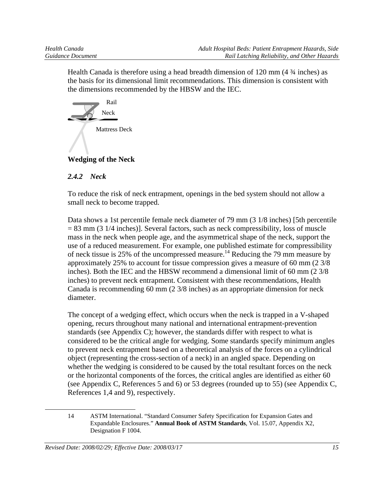Health Canada is therefore using a head breadth dimension of 120 mm (4 ¾ inches) as the basis for its dimensional limit recommendations. This dimension is consistent with the dimensions recommended by the HBSW and the IEC.



# **Wedging of the Neck**

## *2.4.2 Neck*

To reduce the risk of neck entrapment, openings in the bed system should not allow a small neck to become trapped.

Data shows a 1st percentile female neck diameter of 79 mm (3 1/8 inches) [5th percentile = 83 mm (3 1/4 inches)]. Several factors, such as neck compressibility, loss of muscle mass in the neck when people age, and the asymmetrical shape of the neck, support the use of a reduced measurement. For example, one published estimate for compressibility of neck tissue is 25% of the uncompressed measure.<sup>14</sup> Reducing the 79 mm measure by approximately 25% to account for tissue compression gives a measure of 60 mm (2 3/8 inches). Both the IEC and the HBSW recommend a dimensional limit of 60 mm (2 3/8 inches) to prevent neck entrapment. Consistent with these recommendations, Health Canada is recommending 60 mm (2 3/8 inches) as an appropriate dimension for neck diameter.

The concept of a wedging effect, which occurs when the neck is trapped in a V-shaped opening, recurs throughout many national and international entrapment-prevention standards (see Appendix C); however, the standards differ with respect to what is considered to be the critical angle for wedging. Some standards specify minimum angles to prevent neck entrapment based on a theoretical analysis of the forces on a cylindrical object (representing the cross-section of a neck) in an angled space. Depending on whether the wedging is considered to be caused by the total resultant forces on the neck or the horizontal components of the forces, the critical angles are identified as either 60 (see Appendix C, References 5 and 6) or 53 degrees (rounded up to 55) (see Appendix C, References 1,4 and 9), respectively.

 $\overline{a}$ 

<sup>14</sup> ASTM International. "Standard Consumer Safety Specification for Expansion Gates and Expandable Enclosures." **Annual Book of ASTM Standards**, Vol. 15.07, Appendix X2, Designation F 1004.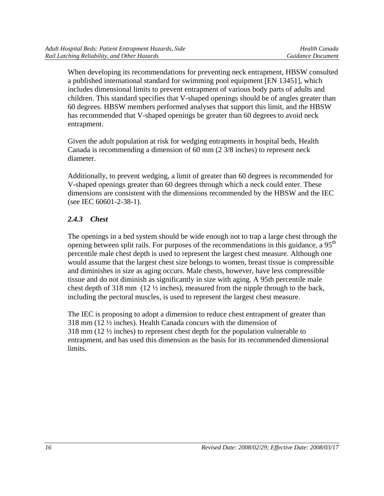When developing its recommendations for preventing neck entrapment, HBSW consulted a published international standard for swimming pool equipment [EN 13451], which includes dimensional limits to prevent entrapment of various body parts of adults and children. This standard specifies that V-shaped openings should be of angles greater than 60 degrees. HBSW members performed analyses that support this limit, and the HBSW has recommended that V-shaped openings be greater than 60 degrees to avoid neck entrapment.

Given the adult population at risk for wedging entrapments in hospital beds, Health Canada is recommending a dimension of 60 mm (2 3/8 inches) to represent neck diameter.

Additionally, to prevent wedging, a limit of greater than 60 degrees is recommended for V-shaped openings greater than 60 degrees through which a neck could enter. These dimensions are consistent with the dimensions recommended by the HBSW and the IEC (see IEC 60601-2-38-1).

# *2.4.3 Chest*

The openings in a bed system should be wide enough not to trap a large chest through the opening between split rails. For purposes of the recommendations in this guidance, a  $95<sup>th</sup>$ percentile male chest depth is used to represent the largest chest measure. Although one would assume that the largest chest size belongs to women, breast tissue is compressible and diminishes in size as aging occurs. Male chests, however, have less compressible tissue and do not diminish as significantly in size with aging. A 95th percentile male chest depth of 318 mm  $(12 \frac{1}{2})$  inches), measured from the nipple through to the back, including the pectoral muscles, is used to represent the largest chest measure.

The IEC is proposing to adopt a dimension to reduce chest entrapment of greater than 318 mm (12 ½ inches). Health Canada concurs with the dimension of 318 mm (12 ½ inches) to represent chest depth for the population vulnerable to entrapment, and has used this dimension as the basis for its recommended dimensional limits.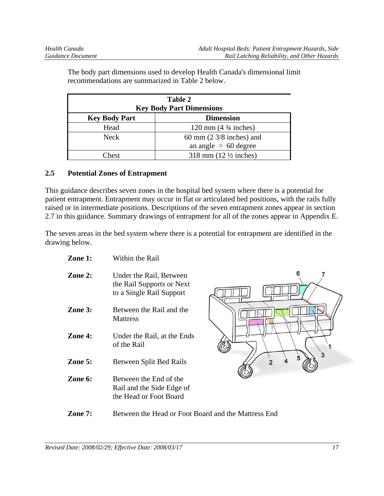| Table 2<br><b>Key Body Part Dimensions</b> |                                                               |
|--------------------------------------------|---------------------------------------------------------------|
| <b>Key Body Part</b>                       | <b>Dimension</b>                                              |
| Head                                       | 120 mm $(4\frac{3}{4}$ inches)                                |
| <b>Neck</b>                                | 60 mm $(2 \frac{3}{8})$ inches) and<br>an angle $> 60$ degree |
| Chest                                      | 318 mm $(12 \frac{1}{2})$ inches)                             |

The body part dimensions used to develop Health Canada's dimensional limit recommendations are summarized in Table 2 below.

#### **2.5 Potential Zones of Entrapment**

This guidance describes seven zones in the hospital bed system where there is a potential for patient entrapment. Entrapment may occur in flat or articulated bed positions, with the rails fully raised or in intermediate positions. Descriptions of the seven entrapment zones appear in section 2.7 in this guidance. Summary drawings of entrapment for all of the zones appear in Appendix E.

The seven areas in the bed system where there is a potential for entrapment are identified in the drawing below.

- **Zone 1:** Within the Rail
- **Zone 2:** Under the Rail, Between the Rail Supports or Next to a Single Rail Support
- **Zone 3:** Between the Rail and the **Mattress**
- **Zone 4:** Under the Rail, at the Ends of the Rail
- **Zone 5:** Between Split Bed Rails
- **Zone 6:** Between the End of the Rail and the Side Edge of the Head or Foot Board



**Zone 7:** Between the Head or Foot Board and the Mattress End

*Revised Date: 2008/02/29; Effective Date: 2008/03/17 17*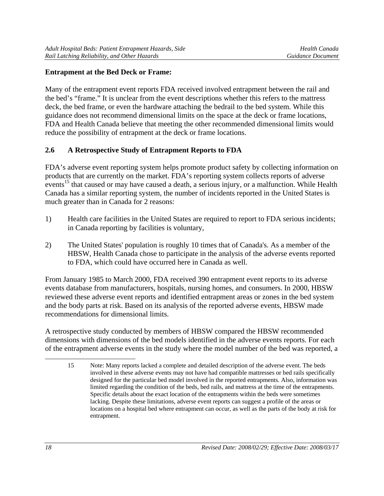#### **Entrapment at the Bed Deck or Frame:**

Many of the entrapment event reports FDA received involved entrapment between the rail and the bed's "frame." It is unclear from the event descriptions whether this refers to the mattress deck, the bed frame, or even the hardware attaching the bedrail to the bed system. While this guidance does not recommend dimensional limits on the space at the deck or frame locations, FDA and Health Canada believe that meeting the other recommended dimensional limits would reduce the possibility of entrapment at the deck or frame locations.

## **2.6 A Retrospective Study of Entrapment Reports to FDA**

FDA's adverse event reporting system helps promote product safety by collecting information on products that are currently on the market. FDA's reporting system collects reports of adverse events<sup>15</sup> that caused or may have caused a death, a serious injury, or a malfunction. While Health Canada has a similar reporting system, the number of incidents reported in the United States is much greater than in Canada for 2 reasons:

- 1) Health care facilities in the United States are required to report to FDA serious incidents; in Canada reporting by facilities is voluntary,
- 2) The United States' population is roughly 10 times that of Canada's. As a member of the HBSW, Health Canada chose to participate in the analysis of the adverse events reported to FDA, which could have occurred here in Canada as well.

From January 1985 to March 2000, FDA received 390 entrapment event reports to its adverse events database from manufacturers, hospitals, nursing homes, and consumers. In 2000, HBSW reviewed these adverse event reports and identified entrapment areas or zones in the bed system and the body parts at risk. Based on its analysis of the reported adverse events, HBSW made recommendations for dimensional limits.

A retrospective study conducted by members of HBSW compared the HBSW recommended dimensions with dimensions of the bed models identified in the adverse events reports. For each of the entrapment adverse events in the study where the model number of the bed was reported, a

 $\overline{a}$ 

<sup>15</sup> Note: Many reports lacked a complete and detailed description of the adverse event. The beds involved in these adverse events may not have had compatible mattresses or bed rails specifically designed for the particular bed model involved in the reported entrapments. Also, information was limited regarding the condition of the beds, bed rails, and mattress at the time of the entrapments. Specific details about the exact location of the entrapments within the beds were sometimes lacking. Despite these limitations, adverse event reports can suggest a profile of the areas or locations on a hospital bed where entrapment can occur, as well as the parts of the body at risk for entrapment.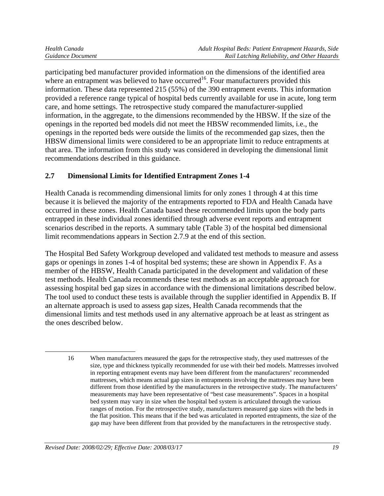$\overline{a}$ 

participating bed manufacturer provided information on the dimensions of the identified area where an entrapment was believed to have occurred<sup>16</sup>. Four manufacturers provided this information. These data represented 215 (55%) of the 390 entrapment events. This information provided a reference range typical of hospital beds currently available for use in acute, long term care, and home settings. The retrospective study compared the manufacturer-supplied information, in the aggregate, to the dimensions recommended by the HBSW. If the size of the openings in the reported bed models did not meet the HBSW recommended limits, i.e., the openings in the reported beds were outside the limits of the recommended gap sizes, then the HBSW dimensional limits were considered to be an appropriate limit to reduce entrapments at that area. The information from this study was considered in developing the dimensional limit recommendations described in this guidance.

# **2.7 Dimensional Limits for Identified Entrapment Zones 1-4**

Health Canada is recommending dimensional limits for only zones 1 through 4 at this time because it is believed the majority of the entrapments reported to FDA and Health Canada have occurred in these zones. Health Canada based these recommended limits upon the body parts entrapped in these individual zones identified through adverse event reports and entrapment scenarios described in the reports. A summary table (Table 3) of the hospital bed dimensional limit recommendations appears in Section 2.7.9 at the end of this section.

The Hospital Bed Safety Workgroup developed and validated test methods to measure and assess gaps or openings in zones 1-4 of hospital bed systems; these are shown in Appendix F. As a member of the HBSW, Health Canada participated in the development and validation of these test methods. Health Canada recommends these test methods as an acceptable approach for assessing hospital bed gap sizes in accordance with the dimensional limitations described below. The tool used to conduct these tests is available through the supplier identified in Appendix B. If an alternate approach is used to assess gap sizes, Health Canada recommends that the dimensional limits and test methods used in any alternative approach be at least as stringent as the ones described below.

<sup>16</sup> When manufacturers measured the gaps for the retrospective study, they used mattresses of the size, type and thickness typically recommended for use with their bed models. Mattresses involved in reporting entrapment events may have been different from the manufacturers' recommended mattresses, which means actual gap sizes in entrapments involving the mattresses may have been different from those identified by the manufacturers in the retrospective study. The manufacturers' measurements may have been representative of "best case measurements". Spaces in a hospital bed system may vary in size when the hospital bed system is articulated through the various ranges of motion. For the retrospective study, manufacturers measured gap sizes with the beds in the flat position. This means that if the bed was articulated in reported entrapments, the size of the gap may have been different from that provided by the manufacturers in the retrospective study.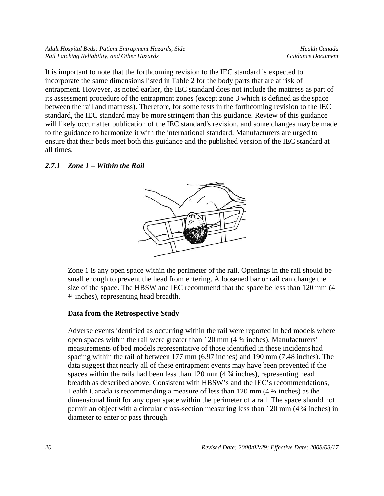It is important to note that the forthcoming revision to the IEC standard is expected to incorporate the same dimensions listed in Table 2 for the body parts that are at risk of entrapment. However, as noted earlier, the IEC standard does not include the mattress as part of its assessment procedure of the entrapment zones (except zone 3 which is defined as the space between the rail and mattress). Therefore, for some tests in the forthcoming revision to the IEC standard, the IEC standard may be more stringent than this guidance. Review of this guidance will likely occur after publication of the IEC standard's revision, and some changes may be made to the guidance to harmonize it with the international standard. Manufacturers are urged to ensure that their beds meet both this guidance and the published version of the IEC standard at all times.

# *2.7.1 Zone 1 – Within the Rail*



Zone 1 is any open space within the perimeter of the rail. Openings in the rail should be small enough to prevent the head from entering. A loosened bar or rail can change the size of the space. The HBSW and IEC recommend that the space be less than 120 mm (4 ¾ inches), representing head breadth.

# **Data from the Retrospective Study**

Adverse events identified as occurring within the rail were reported in bed models where open spaces within the rail were greater than 120 mm (4 ¾ inches). Manufacturers' measurements of bed models representative of those identified in these incidents had spacing within the rail of between 177 mm (6.97 inches) and 190 mm (7.48 inches). The data suggest that nearly all of these entrapment events may have been prevented if the spaces within the rails had been less than 120 mm (4  $\frac{3}{4}$  inches), representing head breadth as described above. Consistent with HBSW's and the IEC's recommendations, Health Canada is recommending a measure of less than 120 mm (4 ¾ inches) as the dimensional limit for any open space within the perimeter of a rail. The space should not permit an object with a circular cross-section measuring less than 120 mm (4 ¾ inches) in diameter to enter or pass through.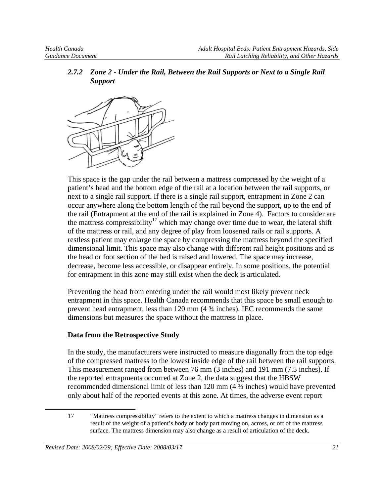*2.7.2 Zone 2 - Under the Rail, Between the Rail Supports or Next to a Single Rail Support* 



This space is the gap under the rail between a mattress compressed by the weight of a patient's head and the bottom edge of the rail at a location between the rail supports, or next to a single rail support. If there is a single rail support, entrapment in Zone 2 can occur anywhere along the bottom length of the rail beyond the support, up to the end of the rail (Entrapment at the end of the rail is explained in Zone 4). Factors to consider are the mattress compressibility<sup>17</sup> which may change over time due to wear, the lateral shift of the mattress or rail, and any degree of play from loosened rails or rail supports. A restless patient may enlarge the space by compressing the mattress beyond the specified dimensional limit. This space may also change with different rail height positions and as the head or foot section of the bed is raised and lowered. The space may increase, decrease, become less accessible, or disappear entirely. In some positions, the potential for entrapment in this zone may still exist when the deck is articulated.

Preventing the head from entering under the rail would most likely prevent neck entrapment in this space. Health Canada recommends that this space be small enough to prevent head entrapment, less than 120 mm (4 ¾ inches). IEC recommends the same dimensions but measures the space without the mattress in place.

#### **Data from the Retrospective Study**

In the study, the manufacturers were instructed to measure diagonally from the top edge of the compressed mattress to the lowest inside edge of the rail between the rail supports. This measurement ranged from between 76 mm (3 inches) and 191 mm (7.5 inches). If the reported entrapments occurred at Zone 2, the data suggest that the HBSW recommended dimensional limit of less than 120 mm (4 ¾ inches) would have prevented only about half of the reported events at this zone. At times, the adverse event report

 $\overline{a}$ 

<sup>17 &</sup>quot;Mattress compressibility" refers to the extent to which a mattress changes in dimension as a result of the weight of a patient's body or body part moving on, across, or off of the mattress surface. The mattress dimension may also change as a result of articulation of the deck.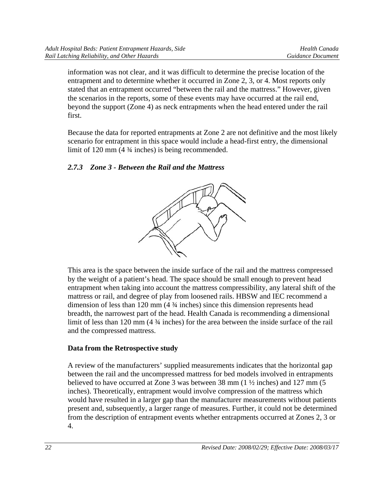information was not clear, and it was difficult to determine the precise location of the entrapment and to determine whether it occurred in Zone 2, 3, or 4. Most reports only stated that an entrapment occurred "between the rail and the mattress." However, given the scenarios in the reports, some of these events may have occurred at the rail end, beyond the support (Zone 4) as neck entrapments when the head entered under the rail first.

Because the data for reported entrapments at Zone 2 are not definitive and the most likely scenario for entrapment in this space would include a head-first entry, the dimensional limit of 120 mm (4 ¾ inches) is being recommended.

# *2.7.3 Zone 3 - Between the Rail and the Mattress*



This area is the space between the inside surface of the rail and the mattress compressed by the weight of a patient's head. The space should be small enough to prevent head entrapment when taking into account the mattress compressibility, any lateral shift of the mattress or rail, and degree of play from loosened rails. HBSW and IEC recommend a dimension of less than 120 mm (4 ¾ inches) since this dimension represents head breadth, the narrowest part of the head. Health Canada is recommending a dimensional limit of less than 120 mm (4  $\frac{3}{4}$  inches) for the area between the inside surface of the rail and the compressed mattress.

## **Data from the Retrospective study**

A review of the manufacturers' supplied measurements indicates that the horizontal gap between the rail and the uncompressed mattress for bed models involved in entrapments believed to have occurred at Zone 3 was between 38 mm (1 ½ inches) and 127 mm (5 inches). Theoretically, entrapment would involve compression of the mattress which would have resulted in a larger gap than the manufacturer measurements without patients present and, subsequently, a larger range of measures. Further, it could not be determined from the description of entrapment events whether entrapments occurred at Zones 2, 3 or 4.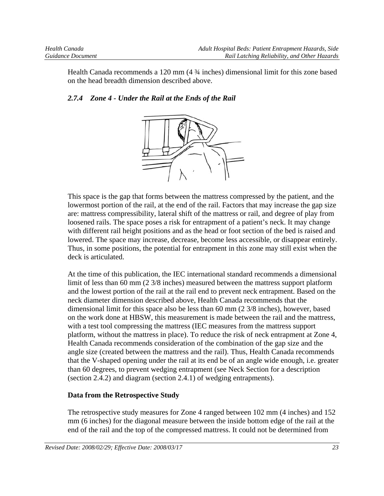Health Canada recommends a 120 mm (4 ¾ inches) dimensional limit for this zone based on the head breadth dimension described above.

#### *2.7.4 Zone 4 - Under the Rail at the Ends of the Rail*



This space is the gap that forms between the mattress compressed by the patient, and the lowermost portion of the rail, at the end of the rail. Factors that may increase the gap size are: mattress compressibility, lateral shift of the mattress or rail, and degree of play from loosened rails. The space poses a risk for entrapment of a patient's neck. It may change with different rail height positions and as the head or foot section of the bed is raised and lowered. The space may increase, decrease, become less accessible, or disappear entirely. Thus, in some positions, the potential for entrapment in this zone may still exist when the deck is articulated.

At the time of this publication, the IEC international standard recommends a dimensional limit of less than 60 mm (2 3/8 inches) measured between the mattress support platform and the lowest portion of the rail at the rail end to prevent neck entrapment. Based on the neck diameter dimension described above, Health Canada recommends that the dimensional limit for this space also be less than 60 mm (2 3/8 inches), however, based on the work done at HBSW, this measurement is made between the rail and the mattress, with a test tool compressing the mattress (IEC measures from the mattress support platform, without the mattress in place). To reduce the risk of neck entrapment at Zone 4, Health Canada recommends consideration of the combination of the gap size and the angle size (created between the mattress and the rail). Thus, Health Canada recommends that the V-shaped opening under the rail at its end be of an angle wide enough, i.e. greater than 60 degrees, to prevent wedging entrapment (see Neck Section for a description (section 2.4.2) and diagram (section 2.4.1) of wedging entrapments).

#### **Data from the Retrospective Study**

The retrospective study measures for Zone 4 ranged between 102 mm (4 inches) and 152 mm (6 inches) for the diagonal measure between the inside bottom edge of the rail at the end of the rail and the top of the compressed mattress. It could not be determined from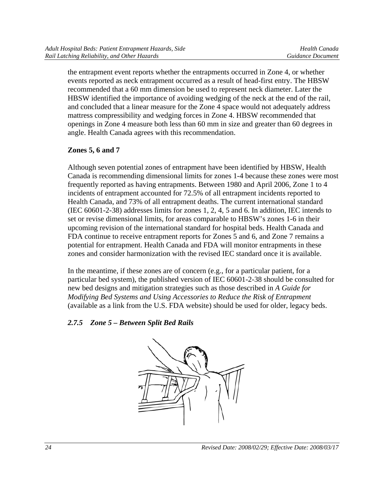the entrapment event reports whether the entrapments occurred in Zone 4, or whether events reported as neck entrapment occurred as a result of head-first entry. The HBSW recommended that a 60 mm dimension be used to represent neck diameter. Later the HBSW identified the importance of avoiding wedging of the neck at the end of the rail, and concluded that a linear measure for the Zone 4 space would not adequately address mattress compressibility and wedging forces in Zone 4. HBSW recommended that openings in Zone 4 measure both less than 60 mm in size and greater than 60 degrees in angle. Health Canada agrees with this recommendation.

# **Zones 5, 6 and 7**

Although seven potential zones of entrapment have been identified by HBSW, Health Canada is recommending dimensional limits for zones 1-4 because these zones were most frequently reported as having entrapments. Between 1980 and April 2006, Zone 1 to 4 incidents of entrapment accounted for 72.5% of all entrapment incidents reported to Health Canada, and 73% of all entrapment deaths. The current international standard (IEC 60601-2-38) addresses limits for zones 1, 2, 4, 5 and 6. In addition, IEC intends to set or revise dimensional limits, for areas comparable to HBSW's zones 1-6 in their upcoming revision of the international standard for hospital beds. Health Canada and FDA continue to receive entrapment reports for Zones 5 and 6, and Zone 7 remains a potential for entrapment. Health Canada and FDA will monitor entrapments in these zones and consider harmonization with the revised IEC standard once it is available.

In the meantime, if these zones are of concern (e.g., for a particular patient, for a particular bed system), the published version of IEC 60601-2-38 should be consulted for new bed designs and mitigation strategies such as those described in *A Guide for Modifying Bed Systems and Using Accessories to Reduce the Risk of Entrapment* (available as a link from the U.S. FDA website) should be used for older, legacy beds.

# *2.7.5 Zone 5 – Between Split Bed Rails*

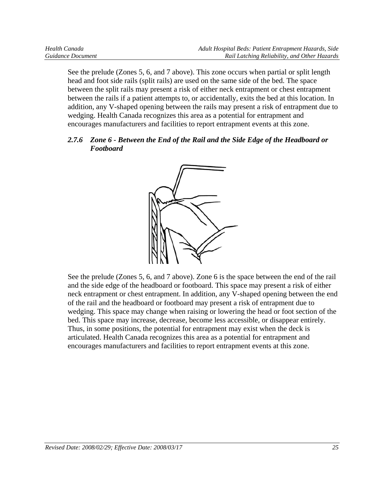See the prelude (Zones 5, 6, and 7 above). This zone occurs when partial or split length head and foot side rails (split rails) are used on the same side of the bed. The space between the split rails may present a risk of either neck entrapment or chest entrapment between the rails if a patient attempts to, or accidentally, exits the bed at this location. In addition, any V-shaped opening between the rails may present a risk of entrapment due to wedging. Health Canada recognizes this area as a potential for entrapment and encourages manufacturers and facilities to report entrapment events at this zone.

#### *2.7.6 Zone 6 - Between the End of the Rail and the Side Edge of the Headboard or Footboard*



See the prelude (Zones 5, 6, and 7 above). Zone 6 is the space between the end of the rail and the side edge of the headboard or footboard. This space may present a risk of either neck entrapment or chest entrapment. In addition, any V-shaped opening between the end of the rail and the headboard or footboard may present a risk of entrapment due to wedging. This space may change when raising or lowering the head or foot section of the bed. This space may increase, decrease, become less accessible, or disappear entirely. Thus, in some positions, the potential for entrapment may exist when the deck is articulated. Health Canada recognizes this area as a potential for entrapment and encourages manufacturers and facilities to report entrapment events at this zone.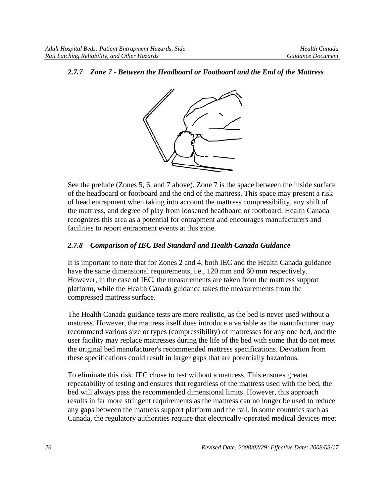#### *2.7.7 Zone 7 - Between the Headboard or Footboard and the End of the Mattress*



See the prelude (Zones 5, 6, and 7 above). Zone 7 is the space between the inside surface of the headboard or footboard and the end of the mattress. This space may present a risk of head entrapment when taking into account the mattress compressibility, any shift of the mattress, and degree of play from loosened headboard or footboard. Health Canada recognizes this area as a potential for entrapment and encourages manufacturers and facilities to report entrapment events at this zone.

#### *2.7.8 Comparison of IEC Bed Standard and Health Canada Guidance*

It is important to note that for Zones 2 and 4, both IEC and the Health Canada guidance have the same dimensional requirements, i.e., 120 mm and 60 mm respectively. However, in the case of IEC, the measurements are taken from the mattress support platform, while the Health Canada guidance takes the measurements from the compressed mattress surface.

The Health Canada guidance tests are more realistic, as the bed is never used without a mattress. However, the mattress itself does introduce a variable as the manufacturer may recommend various size or types (compressibility) of mattresses for any one bed, and the user facility may replace mattresses during the life of the bed with some that do not meet the original bed manufacturer's recommended mattress specifications. Deviation from these specifications could result in larger gaps that are potentially hazardous.

To eliminate this risk, IEC chose to test without a mattress. This ensures greater repeatability of testing and ensures that regardless of the mattress used with the bed, the bed will always pass the recommended dimensional limits. However, this approach results in far more stringent requirements as the mattress can no longer be used to reduce any gaps between the mattress support platform and the rail. In some countries such as Canada, the regulatory authorities require that electrically-operated medical devices meet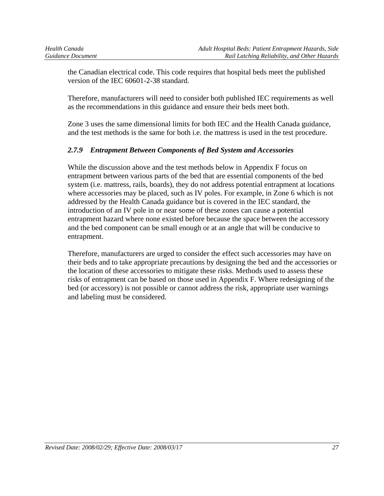the Canadian electrical code. This code requires that hospital beds meet the published version of the IEC 60601-2-38 standard.

Therefore, manufacturers will need to consider both published IEC requirements as well as the recommendations in this guidance and ensure their beds meet both.

Zone 3 uses the same dimensional limits for both IEC and the Health Canada guidance, and the test methods is the same for both i.e. the mattress is used in the test procedure.

## *2.7.9 Entrapment Between Components of Bed System and Accessories*

While the discussion above and the test methods below in Appendix F focus on entrapment between various parts of the bed that are essential components of the bed system (i.e. mattress, rails, boards), they do not address potential entrapment at locations where accessories may be placed, such as IV poles. For example, in Zone 6 which is not addressed by the Health Canada guidance but is covered in the IEC standard, the introduction of an IV pole in or near some of these zones can cause a potential entrapment hazard where none existed before because the space between the accessory and the bed component can be small enough or at an angle that will be conducive to entrapment.

Therefore, manufacturers are urged to consider the effect such accessories may have on their beds and to take appropriate precautions by designing the bed and the accessories or the location of these accessories to mitigate these risks. Methods used to assess these risks of entrapment can be based on those used in Appendix F. Where redesigning of the bed (or accessory) is not possible or cannot address the risk, appropriate user warnings and labeling must be considered.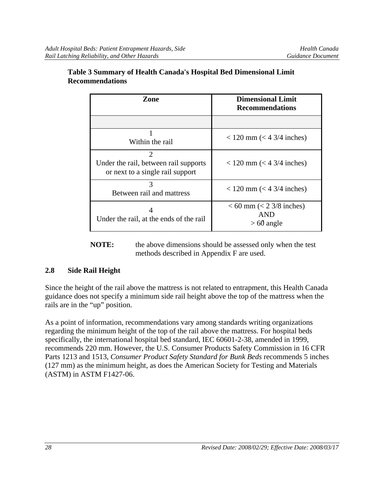| Zone                                                                                                     | Dimensional Limit<br><b>Recommendations</b>                |
|----------------------------------------------------------------------------------------------------------|------------------------------------------------------------|
|                                                                                                          |                                                            |
| Within the rail                                                                                          | $<$ 120 mm ( $<$ 4 3/4 inches)                             |
| $\mathcal{D}_{\mathcal{L}}$<br>Under the rail, between rail supports<br>or next to a single rail support | $<$ 120 mm ( $<$ 4 3/4 inches)                             |
| 3<br>Between rail and mattress                                                                           | $<$ 120 mm ( $<$ 4 3/4 inches)                             |
| Under the rail, at the ends of the rail                                                                  | $< 60$ mm ( $< 23/8$ inches)<br><b>AND</b><br>$> 60$ angle |

#### **Table 3 Summary of Health Canada's Hospital Bed Dimensional Limit Recommendations**

**NOTE:** the above dimensions should be assessed only when the test methods described in Appendix F are used.

## **2.8 Side Rail Height**

Since the height of the rail above the mattress is not related to entrapment, this Health Canada guidance does not specify a minimum side rail height above the top of the mattress when the rails are in the "up" position.

As a point of information, recommendations vary among standards writing organizations regarding the minimum height of the top of the rail above the mattress. For hospital beds specifically, the international hospital bed standard, IEC 60601-2-38, amended in 1999, recommends 220 mm. However, the U.S. Consumer Products Safety Commission in 16 CFR Parts 1213 and 1513, *Consumer Product Safety Standard for Bunk Beds* recommends 5 inches (127 mm) as the minimum height, as does the American Society for Testing and Materials (ASTM) in ASTM F1427-06.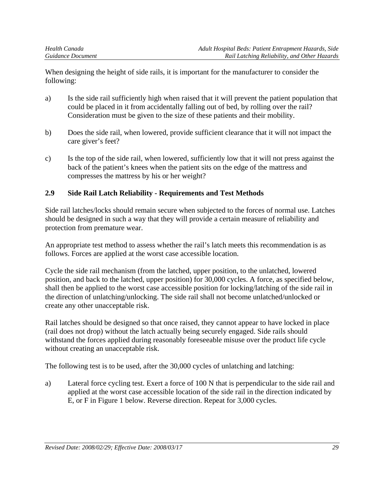When designing the height of side rails, it is important for the manufacturer to consider the following:

- a) Is the side rail sufficiently high when raised that it will prevent the patient population that could be placed in it from accidentally falling out of bed, by rolling over the rail? Consideration must be given to the size of these patients and their mobility.
- b) Does the side rail, when lowered, provide sufficient clearance that it will not impact the care giver's feet?
- c) Is the top of the side rail, when lowered, sufficiently low that it will not press against the back of the patient's knees when the patient sits on the edge of the mattress and compresses the mattress by his or her weight?

# **2.9 Side Rail Latch Reliability - Requirements and Test Methods**

Side rail latches/locks should remain secure when subjected to the forces of normal use. Latches should be designed in such a way that they will provide a certain measure of reliability and protection from premature wear.

An appropriate test method to assess whether the rail's latch meets this recommendation is as follows. Forces are applied at the worst case accessible location.

Cycle the side rail mechanism (from the latched, upper position, to the unlatched, lowered position, and back to the latched, upper position) for 30,000 cycles. A force, as specified below, shall then be applied to the worst case accessible position for locking/latching of the side rail in the direction of unlatching/unlocking. The side rail shall not become unlatched/unlocked or create any other unacceptable risk.

Rail latches should be designed so that once raised, they cannot appear to have locked in place (rail does not drop) without the latch actually being securely engaged. Side rails should withstand the forces applied during reasonably foreseeable misuse over the product life cycle without creating an unacceptable risk.

The following test is to be used, after the 30,000 cycles of unlatching and latching:

a) Lateral force cycling test. Exert a force of 100 N that is perpendicular to the side rail and applied at the worst case accessible location of the side rail in the direction indicated by E, or F in Figure 1 below. Reverse direction. Repeat for 3,000 cycles.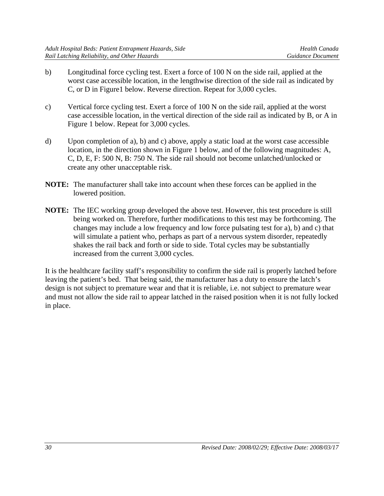- b) Longitudinal force cycling test. Exert a force of 100 N on the side rail, applied at the worst case accessible location, in the lengthwise direction of the side rail as indicated by C, or D in Figure1 below. Reverse direction. Repeat for 3,000 cycles.
- c) Vertical force cycling test. Exert a force of 100 N on the side rail, applied at the worst case accessible location, in the vertical direction of the side rail as indicated by B, or A in Figure 1 below. Repeat for 3,000 cycles.
- d) Upon completion of a), b) and c) above, apply a static load at the worst case accessible location, in the direction shown in Figure 1 below, and of the following magnitudes: A, C, D, E, F: 500 N, B: 750 N. The side rail should not become unlatched/unlocked or create any other unacceptable risk.
- **NOTE:** The manufacturer shall take into account when these forces can be applied in the lowered position.
- **NOTE:** The IEC working group developed the above test. However, this test procedure is still being worked on. Therefore, further modifications to this test may be forthcoming. The changes may include a low frequency and low force pulsating test for a), b) and c) that will simulate a patient who, perhaps as part of a nervous system disorder, repeatedly shakes the rail back and forth or side to side. Total cycles may be substantially increased from the current 3,000 cycles.

It is the healthcare facility staff's responsibility to confirm the side rail is properly latched before leaving the patient's bed. That being said, the manufacturer has a duty to ensure the latch's design is not subject to premature wear and that it is reliable, i.e. not subject to premature wear and must not allow the side rail to appear latched in the raised position when it is not fully locked in place.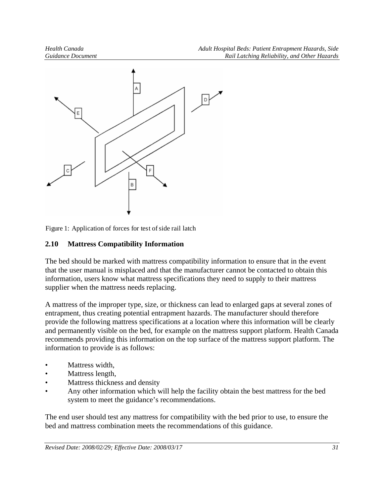

Figure 1: Application of forces for test of side rail latch

# **2.10 Mattress Compatibility Information**

The bed should be marked with mattress compatibility information to ensure that in the event that the user manual is misplaced and that the manufacturer cannot be contacted to obtain this information, users know what mattress specifications they need to supply to their mattress supplier when the mattress needs replacing.

A mattress of the improper type, size, or thickness can lead to enlarged gaps at several zones of entrapment, thus creating potential entrapment hazards. The manufacturer should therefore provide the following mattress specifications at a location where this information will be clearly and permanently visible on the bed, for example on the mattress support platform. Health Canada recommends providing this information on the top surface of the mattress support platform. The information to provide is as follows:

- Mattress width,
- Mattress length,
- Mattress thickness and density
- Any other information which will help the facility obtain the best mattress for the bed system to meet the guidance's recommendations.

The end user should test any mattress for compatibility with the bed prior to use, to ensure the bed and mattress combination meets the recommendations of this guidance.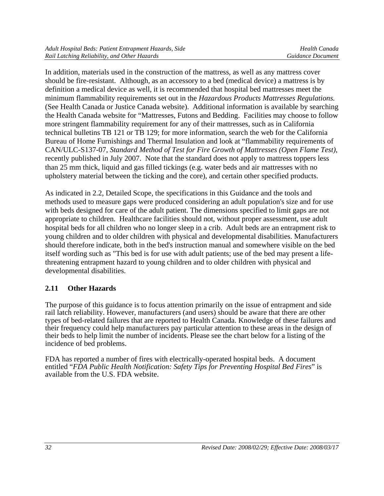In addition, materials used in the construction of the mattress, as well as any mattress cover should be fire-resistant. Although, as an accessory to a bed (medical device) a mattress is by definition a medical device as well, it is recommended that hospital bed mattresses meet the minimum flammability requirements set out in the *Hazardous Products Mattresses Regulations.*  (See Health Canada or Justice Canada website). Additional information is available by searching the Health Canada website for "Mattresses, Futons and Bedding. Facilities may choose to follow more stringent flammability requirement for any of their mattresses, such as in California technical bulletins TB 121 or TB 129; for more information, search the web for the California Bureau of Home Furnishings and Thermal Insulation and look at "flammability requirements of CAN/ULC-S137-07, *Standard Method of Test for Fire Growth of Mattresses (Open Flame Test)*, recently published in July 2007. Note that the standard does not apply to mattress toppers less than 25 mm thick, liquid and gas filled tickings (e.g. water beds and air mattresses with no upholstery material between the ticking and the core), and certain other specified products.

As indicated in 2.2, Detailed Scope, the specifications in this Guidance and the tools and methods used to measure gaps were produced considering an adult population's size and for use with beds designed for care of the adult patient. The dimensions specified to limit gaps are not appropriate to children. Healthcare facilities should not, without proper assessment, use adult hospital beds for all children who no longer sleep in a crib. Adult beds are an entrapment risk to young children and to older children with physical and developmental disabilities. Manufacturers should therefore indicate, both in the bed's instruction manual and somewhere visible on the bed itself wording such as "This bed is for use with adult patients; use of the bed may present a lifethreatening entrapment hazard to young children and to older children with physical and developmental disabilities.

# **2.11 Other Hazards**

The purpose of this guidance is to focus attention primarily on the issue of entrapment and side rail latch reliability. However, manufacturers (and users) should be aware that there are other types of bed-related failures that are reported to Health Canada. Knowledge of these failures and their frequency could help manufacturers pay particular attention to these areas in the design of their beds to help limit the number of incidents. Please see the chart below for a listing of the incidence of bed problems.

FDA has reported a number of fires with electrically-operated hospital beds. A document entitled "*FDA Public Health Notification: Safety Tips for Preventing Hospital Bed Fires*" is available from the U.S. FDA website.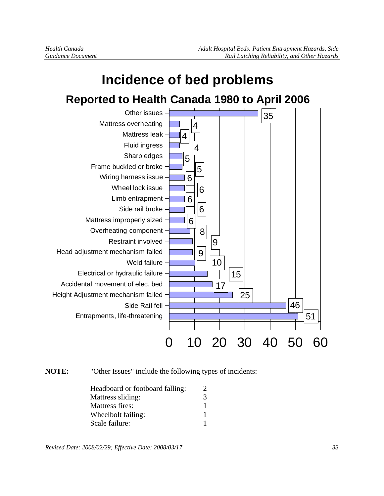

# **NOTE:** "Other Issues" include the following types of incidents:

| Headboard or footboard falling: |   |
|---------------------------------|---|
| Mattress sliding:               | 3 |
| Mattress fires:                 |   |
| Wheelbolt failing:              |   |
| Scale failure:                  |   |

*Revised Date: 2008/02/29; Effective Date: 2008/03/17 33*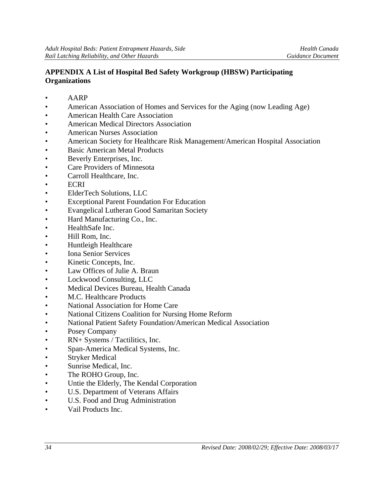#### **APPENDIX A List of Hospital Bed Safety Workgroup (HBSW) Participating Organizations**

- AARP
- American Association of Homes and Services for the Aging (now Leading Age)
- American Health Care Association
- American Medical Directors Association
- American Nurses Association
- American Society for Healthcare Risk Management/American Hospital Association
- Basic American Metal Products
- Beverly Enterprises, Inc.
- Care Providers of Minnesota
- Carroll Healthcare, Inc.
- ECRI
- ElderTech Solutions, LLC
- Exceptional Parent Foundation For Education
- Evangelical Lutheran Good Samaritan Society
- Hard Manufacturing Co., Inc.
- HealthSafe Inc.
- Hill Rom, Inc.
- Huntleigh Healthcare
- Iona Senior Services
- Kinetic Concepts, Inc.
- Law Offices of Julie A. Braun
- Lockwood Consulting, LLC
- Medical Devices Bureau, Health Canada
- M.C. Healthcare Products
- National Association for Home Care
- National Citizens Coalition for Nursing Home Reform
- National Patient Safety Foundation/American Medical Association
- Posey Company
- RN+ Systems / Tactilitics, Inc.
- Span-America Medical Systems, Inc.
- **Stryker Medical**
- Sunrise Medical, Inc.
- The ROHO Group, Inc.
- Untie the Elderly, The Kendal Corporation
- U.S. Department of Veterans Affairs
- U.S. Food and Drug Administration
- Vail Products Inc.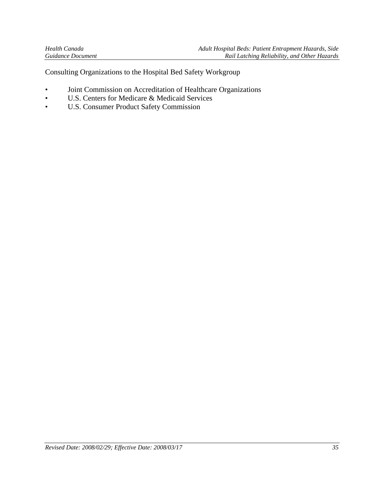Consulting Organizations to the Hospital Bed Safety Workgroup

- Joint Commission on Accreditation of Healthcare Organizations
- U.S. Centers for Medicare & Medicaid Services
- U.S. Consumer Product Safety Commission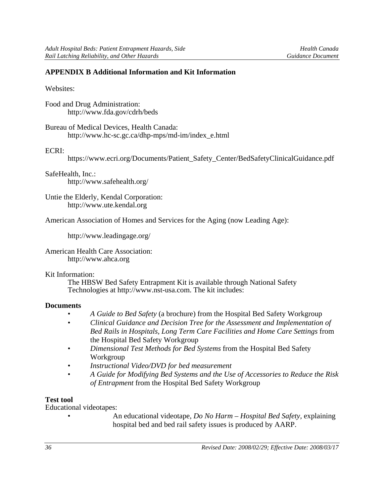#### **APPENDIX B Additional Information and Kit Information**

#### Websites:

Food and Drug Administration: http://www.fda.gov/cdrh/beds

Bureau of Medical Devices, Health Canada: http://www.hc-sc.gc.ca/dhp-mps/md-im/index\_e.html

#### ECRI:

https://www.ecri.org/Documents/Patient\_Safety\_Center/BedSafetyClinicalGuidance.pdf

SafeHealth, Inc.: http://www.safehealth.org/

Untie the Elderly, Kendal Corporation: http://www.ute.kendal.org

American Association of Homes and Services for the Aging (now Leading Age):

http://www.leadingage.org/

American Health Care Association: http://www.ahca.org

#### Kit Information:

The HBSW Bed Safety Entrapment Kit is available through National Safety Technologies at http://www.nst-usa.com. The kit includes:

#### **Documents**

- *A Guide to Bed Safety* (a brochure) from the Hospital Bed Safety Workgroup
- *Clinical Guidance and Decision Tree for the Assessment and Implementation of Bed Rails in Hospitals, Long Term Care Facilities and Home Care Settings* from the Hospital Bed Safety Workgroup
- *Dimensional Test Methods for Bed Systems* from the Hospital Bed Safety Workgroup
- *Instructional Video/DVD for bed measurement*
- *A Guide for Modifying Bed Systems and the Use of Accessories to Reduce the Risk of Entrapment* from the Hospital Bed Safety Workgroup

#### **Test tool**

Educational videotapes:

• An educational videotape, *Do No Harm – Hospital Bed Safety,* explaining hospital bed and bed rail safety issues is produced by AARP.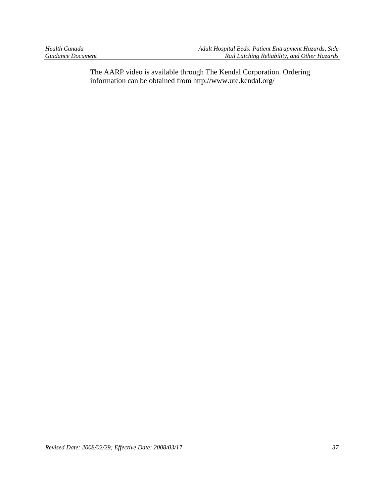The AARP video is available through The Kendal Corporation. Ordering information can be obtained from http://www.ute.kendal.org/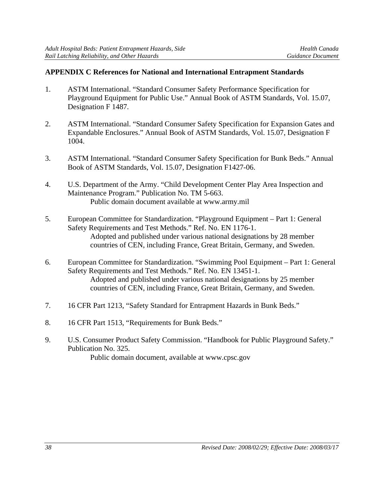#### **APPENDIX C References for National and International Entrapment Standards**

- 1. ASTM International. "Standard Consumer Safety Performance Specification for Playground Equipment for Public Use." Annual Book of ASTM Standards, Vol. 15.07, Designation F 1487.
- 2. ASTM International. "Standard Consumer Safety Specification for Expansion Gates and Expandable Enclosures." Annual Book of ASTM Standards, Vol. 15.07, Designation F 1004.
- 3. ASTM International. "Standard Consumer Safety Specification for Bunk Beds." Annual Book of ASTM Standards, Vol. 15.07, Designation F1427-06.
- 4. U.S. Department of the Army. "Child Development Center Play Area Inspection and Maintenance Program." Publication No. TM 5-663. Public domain document available at www.army.mil
- 5. European Committee for Standardization. "Playground Equipment Part 1: General Safety Requirements and Test Methods." Ref. No. EN 1176-1. Adopted and published under various national designations by 28 member countries of CEN, including France, Great Britain, Germany, and Sweden.
- 6. European Committee for Standardization. "Swimming Pool Equipment Part 1: General Safety Requirements and Test Methods." Ref. No. EN 13451-1. Adopted and published under various national designations by 25 member countries of CEN, including France, Great Britain, Germany, and Sweden.
- 7. 16 CFR Part 1213, "Safety Standard for Entrapment Hazards in Bunk Beds."
- 8. 16 CFR Part 1513, "Requirements for Bunk Beds."
- 9. U.S. Consumer Product Safety Commission. "Handbook for Public Playground Safety." Publication No. 325. Public domain document, available at www.cpsc.gov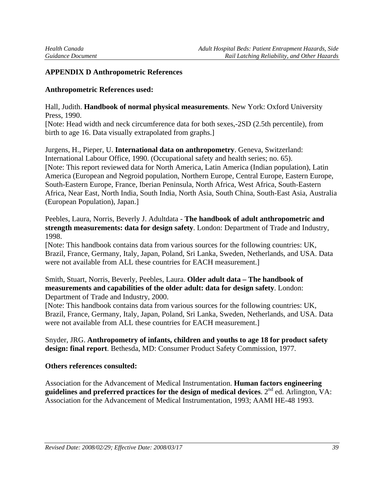#### **APPENDIX D Anthropometric References**

#### **Anthropometric References used:**

Hall, Judith. **Handbook of normal physical measurements**. New York: Oxford University Press, 1990.

[Note: Head width and neck circumference data for both sexes,-2SD (2.5th percentile), from birth to age 16. Data visually extrapolated from graphs.]

Jurgens, H., Pieper, U. **International data on anthropometry**. Geneva, Switzerland: International Labour Office, 1990. (Occupational safety and health series; no. 65). [Note: This report reviewed data for North America, Latin America (Indian population), Latin America (European and Negroid population, Northern Europe, Central Europe, Eastern Europe, South-Eastern Europe, France, Iberian Peninsula, North Africa, West Africa, South-Eastern Africa, Near East, North India, South India, North Asia, South China, South-East Asia, Australia (European Population), Japan.]

Peebles, Laura, Norris, Beverly J. Adultdata - **The handbook of adult anthropometric and strength measurements: data for design safety**. London: Department of Trade and Industry, 1998.

[Note: This handbook contains data from various sources for the following countries: UK, Brazil, France, Germany, Italy, Japan, Poland, Sri Lanka, Sweden, Netherlands, and USA. Data were not available from ALL these countries for EACH measurement.]

#### Smith, Stuart, Norris, Beverly, Peebles, Laura. **Older adult data – The handbook of measurements and capabilities of the older adult: data for design safety**. London: Department of Trade and Industry, 2000.

[Note: This handbook contains data from various sources for the following countries: UK, Brazil, France, Germany, Italy, Japan, Poland, Sri Lanka, Sweden, Netherlands, and USA. Data were not available from ALL these countries for EACH measurement.]

Snyder, JRG. **Anthropometry of infants, children and youths to age 18 for product safety design: final report**. Bethesda, MD: Consumer Product Safety Commission, 1977.

#### **Others references consulted:**

Association for the Advancement of Medical Instrumentation. **Human factors engineering guidelines and preferred practices for the design of medical devices**. 2nd ed. Arlington, VA: Association for the Advancement of Medical Instrumentation, 1993; AAMI HE-48 1993.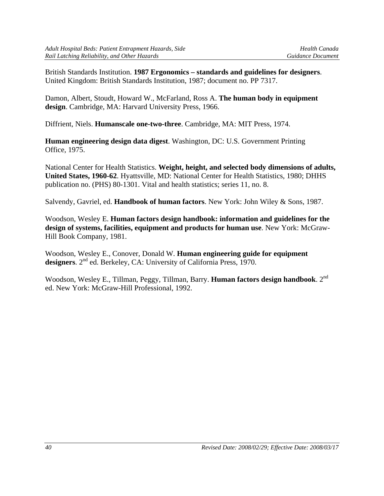British Standards Institution. **1987 Ergonomics – standards and guidelines for designers**. United Kingdom: British Standards Institution, 1987; document no. PP 7317.

Damon, Albert, Stoudt, Howard W., McFarland, Ross A. **The human body in equipment design**. Cambridge, MA: Harvard University Press, 1966.

Diffrient, Niels. **Humanscale one-two-three**. Cambridge, MA: MIT Press, 1974.

**Human engineering design data digest**. Washington, DC: U.S. Government Printing Office, 1975.

National Center for Health Statistics. **Weight, height, and selected body dimensions of adults, United States, 1960-62**. Hyattsville, MD: National Center for Health Statistics, 1980; DHHS publication no. (PHS) 80-1301. Vital and health statistics; series 11, no. 8.

Salvendy, Gavriel, ed. **Handbook of human factors**. New York: John Wiley & Sons, 1987.

Woodson, Wesley E. **Human factors design handbook: information and guidelines for the design of systems, facilities, equipment and products for human use**. New York: McGraw-Hill Book Company, 1981.

Woodson, Wesley E., Conover, Donald W. **Human engineering guide for equipment**  designers. 2<sup>nd</sup> ed. Berkeley, CA: University of California Press, 1970.

Woodson, Wesley E., Tillman, Peggy, Tillman, Barry. **Human factors design handbook**. 2nd ed. New York: McGraw-Hill Professional, 1992.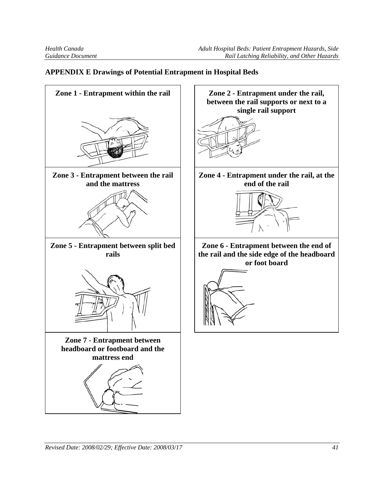#### **APPENDIX E Drawings of Potential Entrapment in Hospital Beds**

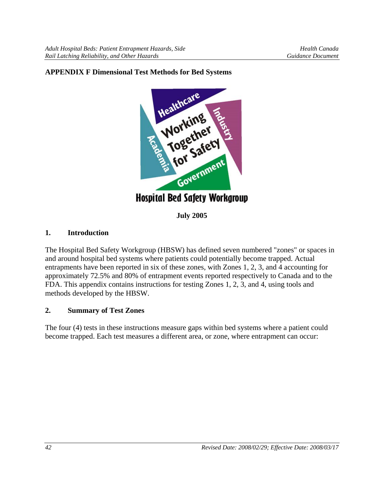

**July 2005** 

## **1. Introduction**

The Hospital Bed Safety Workgroup (HBSW) has defined seven numbered "zones" or spaces in and around hospital bed systems where patients could potentially become trapped. Actual entrapments have been reported in six of these zones, with Zones 1, 2, 3, and 4 accounting for approximately 72.5% and 80% of entrapment events reported respectively to Canada and to the FDA. This appendix contains instructions for testing Zones 1, 2, 3, and 4, using tools and methods developed by the HBSW.

#### **2. Summary of Test Zones**

The four (4) tests in these instructions measure gaps within bed systems where a patient could become trapped. Each test measures a different area, or zone, where entrapment can occur: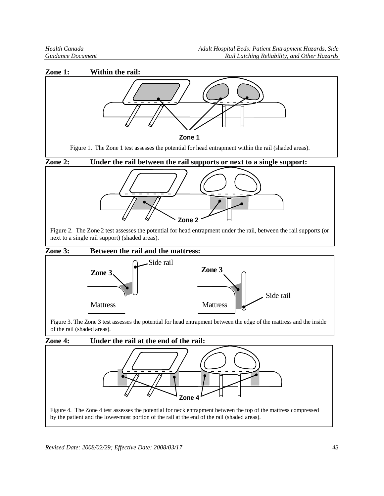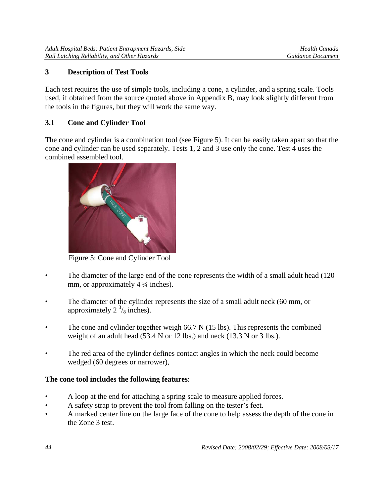# **3 Description of Test Tools**

Each test requires the use of simple tools, including a cone, a cylinder, and a spring scale. Tools used, if obtained from the source quoted above in Appendix B, may look slightly different from the tools in the figures, but they will work the same way.

# **3.1 Cone and Cylinder Tool**

The cone and cylinder is a combination tool (see Figure 5). It can be easily taken apart so that the cone and cylinder can be used separately. Tests 1, 2 and 3 use only the cone. Test 4 uses the combined assembled tool.



Figure 5: Cone and Cylinder Tool

- The diameter of the large end of the cone represents the width of a small adult head (120) mm, or approximately 4  $\frac{3}{4}$  inches).
- The diameter of the cylinder represents the size of a small adult neck (60 mm, or approximately  $2^{3}/_8$  inches).
- The cone and cylinder together weigh 66.7 N (15 lbs). This represents the combined weight of an adult head (53.4 N or 12 lbs.) and neck (13.3 N or 3 lbs.).
- The red area of the cylinder defines contact angles in which the neck could become wedged (60 degrees or narrower),

## **The cone tool includes the following features**:

- A loop at the end for attaching a spring scale to measure applied forces.
- A safety strap to prevent the tool from falling on the tester's feet.
- A marked center line on the large face of the cone to help assess the depth of the cone in the Zone 3 test.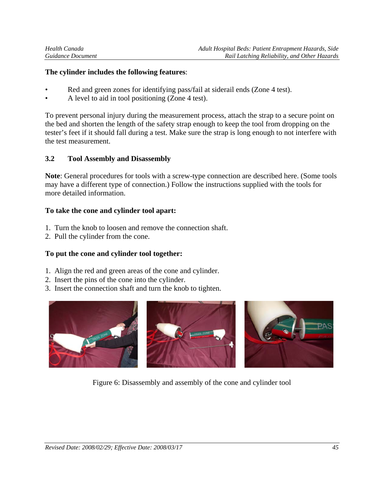#### **The cylinder includes the following features**:

- Red and green zones for identifying pass/fail at siderail ends (Zone 4 test).
- A level to aid in tool positioning (Zone 4 test).

To prevent personal injury during the measurement process, attach the strap to a secure point on the bed and shorten the length of the safety strap enough to keep the tool from dropping on the tester's feet if it should fall during a test. Make sure the strap is long enough to not interfere with the test measurement.

## **3.2 Tool Assembly and Disassembly**

**Note**: General procedures for tools with a screw-type connection are described here. (Some tools may have a different type of connection.) Follow the instructions supplied with the tools for more detailed information.

#### **To take the cone and cylinder tool apart:**

- 1. Turn the knob to loosen and remove the connection shaft.
- 2. Pull the cylinder from the cone.

## **To put the cone and cylinder tool together:**

- 1. Align the red and green areas of the cone and cylinder.
- 2. Insert the pins of the cone into the cylinder.
- 3. Insert the connection shaft and turn the knob to tighten.



Figure 6: Disassembly and assembly of the cone and cylinder tool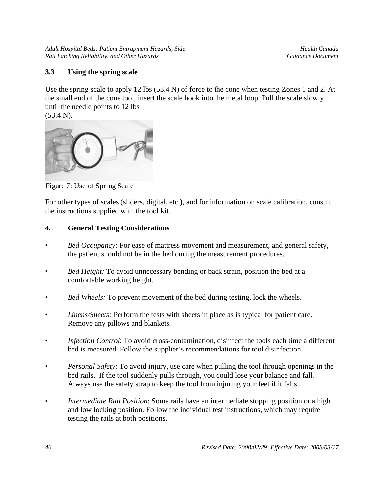# **3.3 Using the spring scale**

Use the spring scale to apply 12 lbs (53.4 N) of force to the cone when testing Zones 1 and 2. At the small end of the cone tool, insert the scale hook into the metal loop. Pull the scale slowly until the needle points to 12 lbs

(53.4 N).



Figure 7: Use of Spring Scale

For other types of scales (sliders, digital, etc.), and for information on scale calibration, consult the instructions supplied with the tool kit.

# **4. General Testing Considerations**

- *Bed Occupancy:* For ease of mattress movement and measurement, and general safety, the patient should not be in the bed during the measurement procedures.
- *Bed Height:* To avoid unnecessary bending or back strain, position the bed at a comfortable working height.
- *Bed Wheels:* To prevent movement of the bed during testing, lock the wheels.
- *Linens/Sheets:* Perform the tests with sheets in place as is typical for patient care. Remove any pillows and blankets.
- *Infection Control*: To avoid cross-contamination, disinfect the tools each time a different bed is measured. Follow the supplier's recommendations for tool disinfection.
- *Personal Safety:* To avoid injury, use care when pulling the tool through openings in the bed rails. If the tool suddenly pulls through, you could lose your balance and fall. Always use the safety strap to keep the tool from injuring your feet if it falls.
- *Intermediate Rail Position*: Some rails have an intermediate stopping position or a high and low locking position. Follow the individual test instructions, which may require testing the rails at both positions.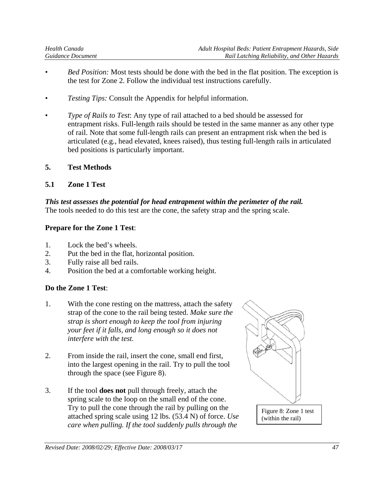- *Bed Position:* Most tests should be done with the bed in the flat position. The exception is the test for Zone 2. Follow the individual test instructions carefully.
- *Testing Tips:* Consult the Appendix for helpful information.
- *Type of Rails to Test*: Any type of rail attached to a bed should be assessed for entrapment risks. Full-length rails should be tested in the same manner as any other type of rail. Note that some full-length rails can present an entrapment risk when the bed is articulated (e.g., head elevated, knees raised), thus testing full-length rails in articulated bed positions is particularly important.
- **5. Test Methods**
- **5.1 Zone 1 Test**

*This test assesses the potential for head entrapment within the perimeter of the rail.* The tools needed to do this test are the cone, the safety strap and the spring scale.

# **Prepare for the Zone 1 Test**:

- 1. Lock the bed's wheels.
- 2. Put the bed in the flat, horizontal position.
- 3. Fully raise all bed rails.
- 4. Position the bed at a comfortable working height.

# **Do the Zone 1 Test**:

- 1. With the cone resting on the mattress, attach the safety strap of the cone to the rail being tested. *Make sure the strap is short enough to keep the tool from injuring your feet if it falls, and long enough so it does not interfere with the test.*
- 2. From inside the rail, insert the cone, small end first, into the largest opening in the rail. Try to pull the tool through the space (see Figure 8).
- 3. If the tool **does not** pull through freely, attach the spring scale to the loop on the small end of the cone. Try to pull the cone through the rail by pulling on the attached spring scale using 12 lbs. (53.4 N) of force. *Use care when pulling. If the tool suddenly pulls through the*

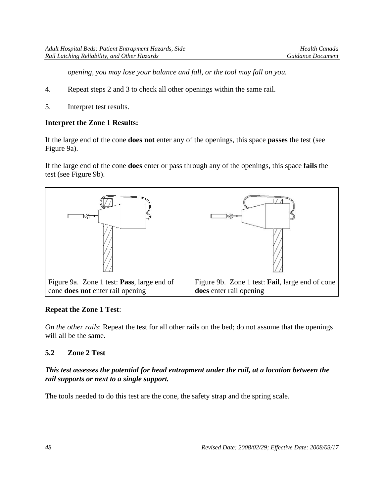*opening, you may lose your balance and fall, or the tool may fall on you.* 

- 4. Repeat steps 2 and 3 to check all other openings within the same rail.
- 5. Interpret test results.

#### **Interpret the Zone 1 Results:**

If the large end of the cone **does not** enter any of the openings, this space **passes** the test (see Figure 9a).

If the large end of the cone **does** enter or pass through any of the openings, this space **fails** the test (see Figure 9b).



## **Repeat the Zone 1 Test**:

*On the other rails*: Repeat the test for all other rails on the bed; do not assume that the openings will all be the same.

## **5.2 Zone 2 Test**

#### *This test assesses the potential for head entrapment under the rail, at a location between the rail supports or next to a single support.*

The tools needed to do this test are the cone, the safety strap and the spring scale.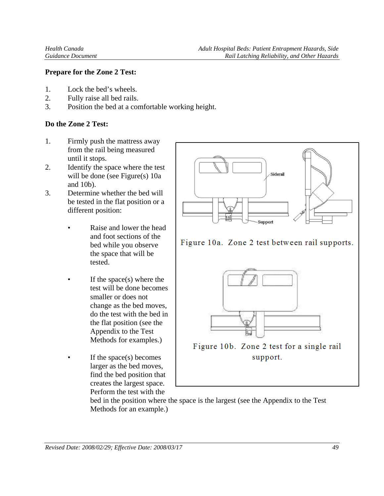#### **Prepare for the Zone 2 Test:**

- 1. Lock the bed's wheels.
- 2. Fully raise all bed rails.
- 3. Position the bed at a comfortable working height.

#### **Do the Zone 2 Test:**

- 1. Firmly push the mattress away from the rail being measured until it stops.
- 2. Identify the space where the test will be done (see Figure(s) 10a and 10b).
- 3. Determine whether the bed will be tested in the flat position or a different position:
	- Raise and lower the head and foot sections of the bed while you observe the space that will be tested.
	- If the space(s) where the test will be done becomes smaller or does not change as the bed moves, do the test with the bed in the flat position (see the Appendix to the Test Methods for examples.)
	- If the space(s) becomes larger as the bed moves, find the bed position that creates the largest space. Perform the test with the



bed in the position where the space is the largest (see the Appendix to the Test Methods for an example.)

*Revised Date: 2008/02/29; Effective Date: 2008/03/17 49*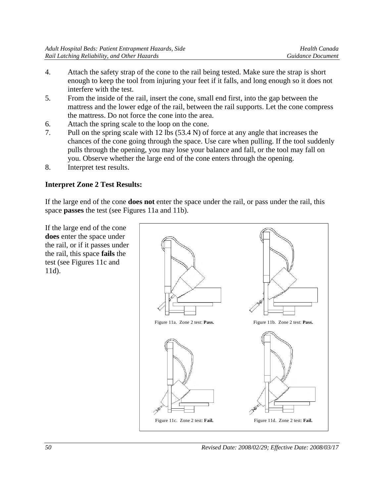- 4. Attach the safety strap of the cone to the rail being tested. Make sure the strap is short enough to keep the tool from injuring your feet if it falls, and long enough so it does not interfere with the test.
- 5. From the inside of the rail, insert the cone, small end first, into the gap between the mattress and the lower edge of the rail, between the rail supports. Let the cone compress the mattress. Do not force the cone into the area.
- 6. Attach the spring scale to the loop on the cone.
- 7. Pull on the spring scale with 12 lbs (53.4 N) of force at any angle that increases the chances of the cone going through the space. Use care when pulling. If the tool suddenly pulls through the opening, you may lose your balance and fall, or the tool may fall on you. Observe whether the large end of the cone enters through the opening.
- 8. Interpret test results.

## **Interpret Zone 2 Test Results:**

If the large end of the cone **does not** enter the space under the rail, or pass under the rail, this space **passes** the test (see Figures 11a and 11b).

If the large end of the cone **does** enter the space under the rail, or if it passes under the rail, this space **fails** the test (see Figures 11c and 11d).

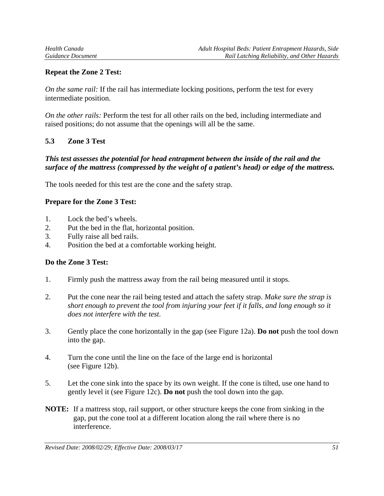## **Repeat the Zone 2 Test:**

*On the same rail:* If the rail has intermediate locking positions, perform the test for every intermediate position.

*On the other rails:* Perform the test for all other rails on the bed, including intermediate and raised positions; do not assume that the openings will all be the same.

#### **5.3 Zone 3 Test**

#### *This test assesses the potential for head entrapment between the inside of the rail and the surface of the mattress (compressed by the weight of a patient's head) or edge of the mattress.*

The tools needed for this test are the cone and the safety strap.

#### **Prepare for the Zone 3 Test:**

- 1. Lock the bed's wheels.
- 2. Put the bed in the flat, horizontal position.
- 3. Fully raise all bed rails.
- 4. Position the bed at a comfortable working height.

#### **Do the Zone 3 Test:**

- 1. Firmly push the mattress away from the rail being measured until it stops.
- 2. Put the cone near the rail being tested and attach the safety strap. *Make sure the strap is short enough to prevent the tool from injuring your feet if it falls, and long enough so it does not interfere with the test*.
- 3. Gently place the cone horizontally in the gap (see Figure 12a). **Do not** push the tool down into the gap.
- 4. Turn the cone until the line on the face of the large end is horizontal (see Figure 12b).
- 5. Let the cone sink into the space by its own weight. If the cone is tilted, use one hand to gently level it (see Figure 12c). **Do not** push the tool down into the gap.
- **NOTE:** If a mattress stop, rail support, or other structure keeps the cone from sinking in the gap, put the cone tool at a different location along the rail where there is no interference.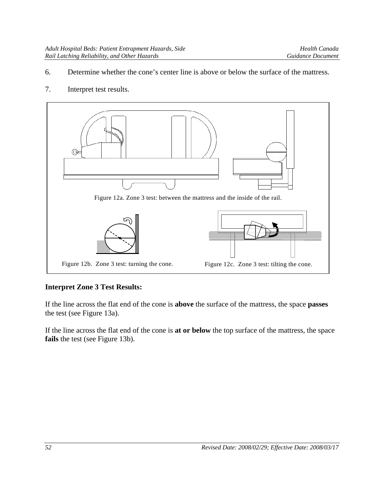- 6. Determine whether the cone's center line is above or below the surface of the mattress.
- 7. Interpret test results.



#### **Interpret Zone 3 Test Results:**

If the line across the flat end of the cone is **above** the surface of the mattress, the space **passes** the test (see Figure 13a).

If the line across the flat end of the cone is **at or below** the top surface of the mattress, the space **fails** the test (see Figure 13b).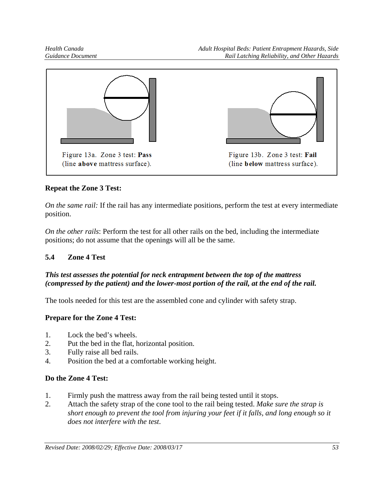

## **Repeat the Zone 3 Test:**

*On the same rail:* If the rail has any intermediate positions, perform the test at every intermediate position.

*On the other rails*: Perform the test for all other rails on the bed, including the intermediate positions; do not assume that the openings will all be the same.

# **5.4 Zone 4 Test**

## *This test assesses the potential for neck entrapment between the top of the mattress (compressed by the patient) and the lower-most portion of the rail, at the end of the rail.*

The tools needed for this test are the assembled cone and cylinder with safety strap.

## **Prepare for the Zone 4 Test:**

- 1. Lock the bed's wheels.
- 2. Put the bed in the flat, horizontal position.
- 3. Fully raise all bed rails.
- 4. Position the bed at a comfortable working height.

## **Do the Zone 4 Test:**

- 1. Firmly push the mattress away from the rail being tested until it stops.
- 2. Attach the safety strap of the cone tool to the rail being tested. *Make sure the strap is short enough to prevent the tool from injuring your feet if it falls, and long enough so it does not interfere with the test*.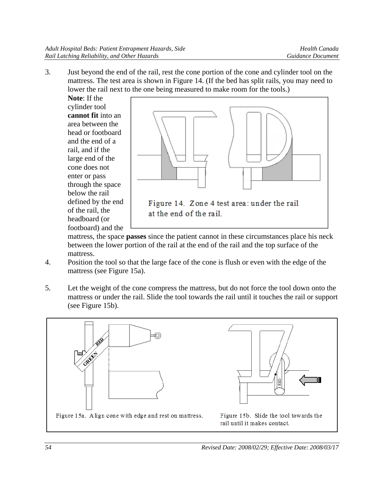3. Just beyond the end of the rail, rest the cone portion of the cone and cylinder tool on the mattress. The test area is shown in Figure 14. (If the bed has split rails, you may need to lower the rail next to the one being measured to make room for the tools.)

**Note**: If the cylinder tool **cannot fit** into an area between the head or footboard and the end of a rail, and if the large end of the cone does not enter or pass through the space below the rail defined by the end of the rail, the headboard (or footboard) and the



mattress, the space **passes** since the patient cannot in these circumstances place his neck between the lower portion of the rail at the end of the rail and the top surface of the mattress.

- 4. Position the tool so that the large face of the cone is flush or even with the edge of the mattress (see Figure 15a).
- 5. Let the weight of the cone compress the mattress, but do not force the tool down onto the mattress or under the rail. Slide the tool towards the rail until it touches the rail or support (see Figure 15b).

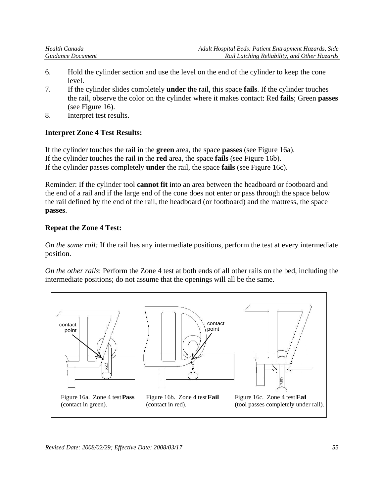- 6. Hold the cylinder section and use the level on the end of the cylinder to keep the cone level.
- 7. If the cylinder slides completely **under** the rail, this space **fails**. If the cylinder touches the rail, observe the color on the cylinder where it makes contact: Red **fails**; Green **passes** (see Figure 16).
- 8. Interpret test results.

## **Interpret Zone 4 Test Results:**

If the cylinder touches the rail in the **green** area, the space **passes** (see Figure 16a). If the cylinder touches the rail in the **red** area, the space **fails** (see Figure 16b). If the cylinder passes completely **under** the rail, the space **fails** (see Figure 16c).

Reminder: If the cylinder tool **cannot fit** into an area between the headboard or footboard and the end of a rail and if the large end of the cone does not enter or pass through the space below the rail defined by the end of the rail, the headboard (or footboard) and the mattress, the space **passes**.

## **Repeat the Zone 4 Test:**

*On the same rail:* If the rail has any intermediate positions, perform the test at every intermediate position.

*On the other rails*: Perform the Zone 4 test at both ends of all other rails on the bed, including the intermediate positions; do not assume that the openings will all be the same.

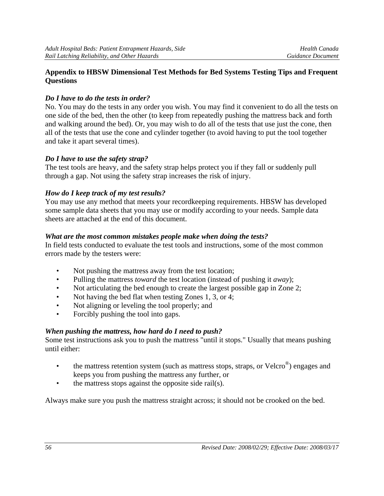#### **Appendix to HBSW Dimensional Test Methods for Bed Systems Testing Tips and Frequent Questions**

#### *Do I have to do the tests in order?*

No. You may do the tests in any order you wish. You may find it convenient to do all the tests on one side of the bed, then the other (to keep from repeatedly pushing the mattress back and forth and walking around the bed). Or, you may wish to do all of the tests that use just the cone, then all of the tests that use the cone and cylinder together (to avoid having to put the tool together and take it apart several times).

#### *Do I have to use the safety strap?*

The test tools are heavy, and the safety strap helps protect you if they fall or suddenly pull through a gap. Not using the safety strap increases the risk of injury.

## *How do I keep track of my test results?*

You may use any method that meets your recordkeeping requirements. HBSW has developed some sample data sheets that you may use or modify according to your needs. Sample data sheets are attached at the end of this document.

#### *What are the most common mistakes people make when doing the tests?*

In field tests conducted to evaluate the test tools and instructions, some of the most common errors made by the testers were:

- Not pushing the mattress away from the test location;
- Pulling the mattress *toward* the test location (instead of pushing it *away*);
- Not articulating the bed enough to create the largest possible gap in Zone 2;
- Not having the bed flat when testing Zones 1, 3, or 4;
- Not aligning or leveling the tool properly; and
- Forcibly pushing the tool into gaps.

#### *When pushing the mattress, how hard do I need to push?*

Some test instructions ask you to push the mattress "until it stops." Usually that means pushing until either:

- the mattress retention system (such as mattress stops, straps, or Velcro<sup>®</sup>) engages and keeps you from pushing the mattress any further, or
- the mattress stops against the opposite side rail(s).

Always make sure you push the mattress straight across; it should not be crooked on the bed.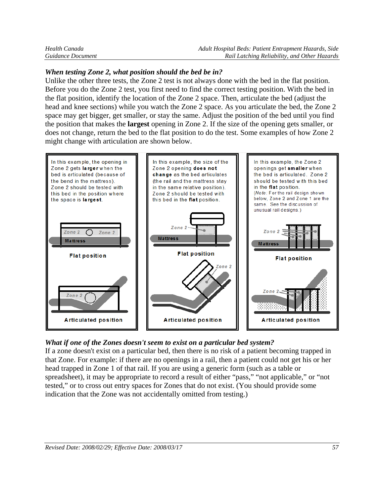| Health Canada     | Adult Hospital Beds: Patient Entrapment Hazards, Side |
|-------------------|-------------------------------------------------------|
| Guidance Document | Rail Latching Reliability, and Other Hazards          |

#### *When testing Zone 2, what position should the bed be in?*

Unlike the other three tests, the Zone 2 test is not always done with the bed in the flat position. Before you do the Zone 2 test, you first need to find the correct testing position. With the bed in the flat position, identify the location of the Zone 2 space. Then, articulate the bed (adjust the head and knee sections) while you watch the Zone 2 space. As you articulate the bed, the Zone 2 space may get bigger, get smaller, or stay the same. Adjust the position of the bed until you find the position that makes the **largest** opening in Zone 2. If the size of the opening gets smaller, or does not change, return the bed to the flat position to do the test. Some examples of how Zone 2 might change with articulation are shown below.



## *What if one of the Zones doesn't seem to exist on a particular bed system?*

If a zone doesn't exist on a particular bed, then there is no risk of a patient becoming trapped in that Zone. For example: if there are no openings in a rail, then a patient could not get his or her head trapped in Zone 1 of that rail. If you are using a generic form (such as a table or spreadsheet), it may be appropriate to record a result of either "pass," "not applicable," or "not tested," or to cross out entry spaces for Zones that do not exist. (You should provide some indication that the Zone was not accidentally omitted from testing.)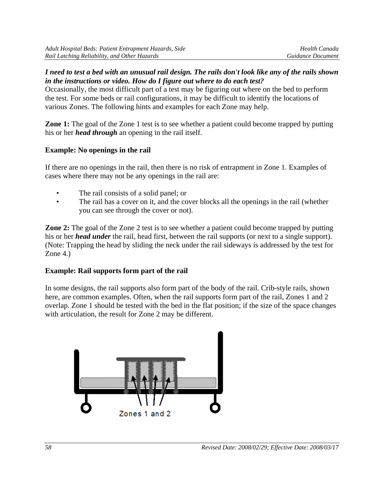#### *I need to test a bed with an unusual rail design. The rails don't look like any of the rails shown in the instructions or video. How do I figure out where to do each test?*

Occasionally, the most difficult part of a test may be figuring out where on the bed to perform the test. For some beds or rail configurations, it may be difficult to identify the locations of various Zones. The following hints and examples for each Zone may help.

**Zone 1:** The goal of the Zone 1 test is to see whether a patient could become trapped by putting his or her *head through* an opening in the rail itself.

# **Example: No openings in the rail**

If there are no openings in the rail, then there is no risk of entrapment in Zone 1. Examples of cases where there may not be any openings in the rail are:

- The rail consists of a solid panel; or
- The rail has a cover on it, and the cover blocks all the openings in the rail (whether you can see through the cover or not).

**Zone 2:** The goal of the Zone 2 test is to see whether a patient could become trapped by putting his or her *head under* the rail, head first, between the rail supports (or next to a single support). (Note: Trapping the head by sliding the neck under the rail sideways is addressed by the test for Zone 4.)

# **Example: Rail supports form part of the rail**

In some designs, the rail supports also form part of the body of the rail. Crib-style rails, shown here, are common examples. Often, when the rail supports form part of the rail, Zones 1 and 2 overlap. Zone 1 should be tested with the bed in the flat position; if the size of the space changes with articulation, the result for Zone 2 may be different.

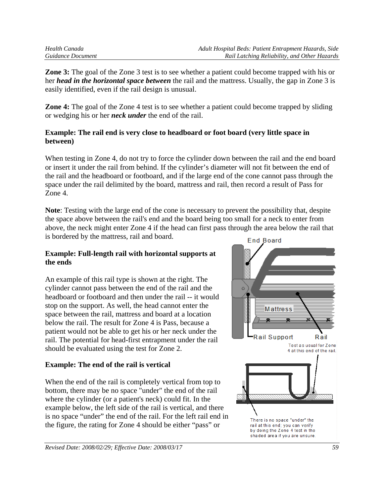**Zone 3:** The goal of the Zone 3 test is to see whether a patient could become trapped with his or her *head in the horizontal space between* the rail and the mattress. Usually, the gap in Zone 3 is easily identified, even if the rail design is unusual.

**Zone 4:** The goal of the Zone 4 test is to see whether a patient could become trapped by sliding or wedging his or her *neck under* the end of the rail.

#### **Example: The rail end is very close to headboard or foot board (very little space in between)**

When testing in Zone 4, do not try to force the cylinder down between the rail and the end board or insert it under the rail from behind. If the cylinder's diameter will not fit between the end of the rail and the headboard or footboard, and if the large end of the cone cannot pass through the space under the rail delimited by the board, mattress and rail, then record a result of Pass for Zone 4.

**Note**: Testing with the large end of the cone is necessary to prevent the possibility that, despite the space above between the rail's end and the board being too small for a neck to enter from above, the neck might enter Zone 4 if the head can first pass through the area below the rail that is bordered by the mattress, rail and board.

#### **Example: Full-length rail with horizontal supports at the ends**

An example of this rail type is shown at the right. The cylinder cannot pass between the end of the rail and the headboard or footboard and then under the rail -- it would stop on the support. As well, the head cannot enter the space between the rail, mattress and board at a location below the rail. The result for Zone 4 is Pass, because a patient would not be able to get his or her neck under the rail. The potential for head-first entrapment under the rail should be evaluated using the test for Zone 2.

# **Example: The end of the rail is vertical**

When the end of the rail is completely vertical from top to bottom, there may be no space "under" the end of the rail where the cylinder (or a patient's neck) could fit. In the example below, the left side of the rail is vertical, and there is no space "under" the end of the rail. For the left rail end in the figure, the rating for Zone 4 should be either "pass" or

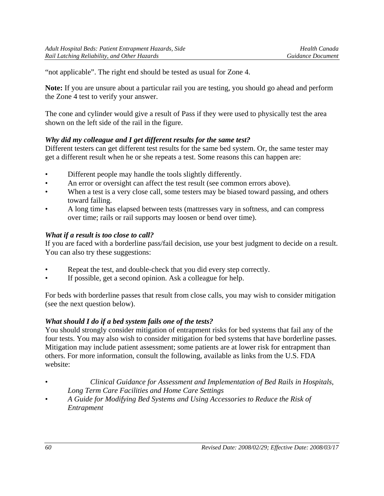"not applicable". The right end should be tested as usual for Zone 4.

**Note:** If you are unsure about a particular rail you are testing, you should go ahead and perform the Zone 4 test to verify your answer.

The cone and cylinder would give a result of Pass if they were used to physically test the area shown on the left side of the rail in the figure.

## *Why did my colleague and I get different results for the same test?*

Different testers can get different test results for the same bed system. Or, the same tester may get a different result when he or she repeats a test. Some reasons this can happen are:

- Different people may handle the tools slightly differently.
- An error or oversight can affect the test result (see common errors above).
- When a test is a very close call, some testers may be biased toward passing, and others toward failing.
- A long time has elapsed between tests (mattresses vary in softness, and can compress over time; rails or rail supports may loosen or bend over time).

## *What if a result is too close to call?*

If you are faced with a borderline pass/fail decision, use your best judgment to decide on a result. You can also try these suggestions:

- Repeat the test, and double-check that you did every step correctly.
- If possible, get a second opinion. Ask a colleague for help.

For beds with borderline passes that result from close calls, you may wish to consider mitigation (see the next question below).

## *What should I do if a bed system fails one of the tests?*

You should strongly consider mitigation of entrapment risks for bed systems that fail any of the four tests. You may also wish to consider mitigation for bed systems that have borderline passes. Mitigation may include patient assessment; some patients are at lower risk for entrapment than others. For more information, consult the following, available as links from the U.S. FDA website:

- *Clinical Guidance for Assessment and Implementation of Bed Rails in Hospitals, Long Term Care Facilities and Home Care Settings*
- *A Guide for Modifying Bed Systems and Using Accessories to Reduce the Risk of Entrapment*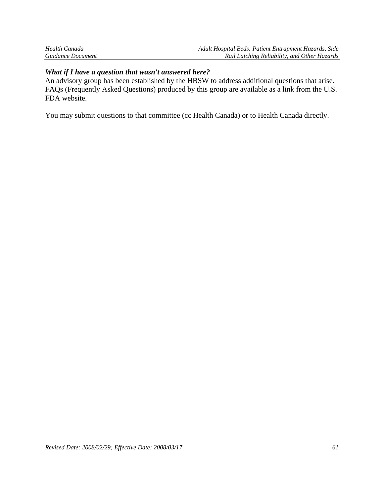| Health Canada     | Adult Hospital Beds: Patient Entrapment Hazards, Side |
|-------------------|-------------------------------------------------------|
| Guidance Document | Rail Latching Reliability, and Other Hazards          |

#### *What if I have a question that wasn't answered here?*

An advisory group has been established by the HBSW to address additional questions that arise. FAQs (Frequently Asked Questions) produced by this group are available as a link from the U.S. FDA website.

You may submit questions to that committee (cc Health Canada) or to Health Canada directly.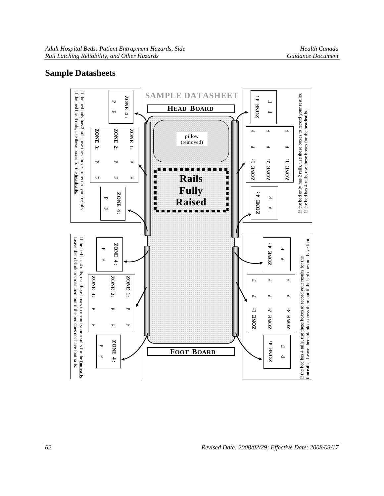# **Sample Datasheets**